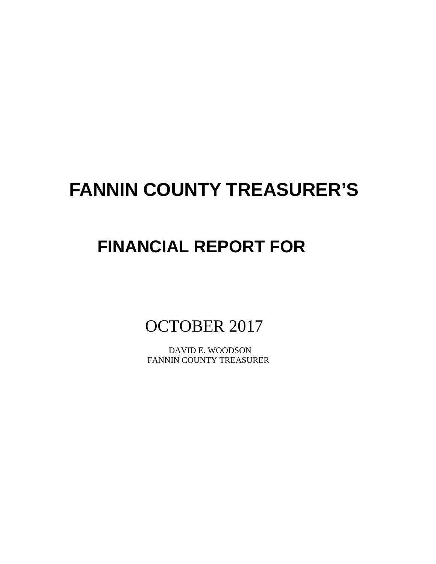# **FANNIN COUNTY TREASURER'S**

# **FINANCIAL REPORT FOR**

OCTOBER 2017

 DAVID E. WOODSON FANNIN COUNTY TREASURER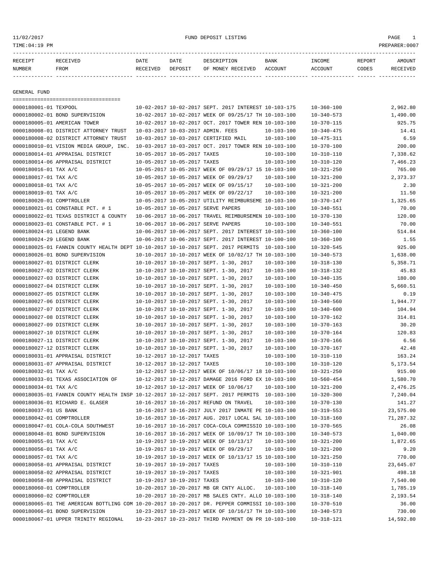11/02/2017 FUND DEPOSIT LISTING PAGE 1

| RECEIPT | <b>RECEIVED</b> | DATE            | DATE    | DESCRIPTION       | <b>BANK</b> | INCOME  | <b>REPORT</b> | AMOUNT          |
|---------|-----------------|-----------------|---------|-------------------|-------------|---------|---------------|-----------------|
| NUMBER  | FROM            | <b>RECEIVED</b> | DEPOSIT | OF MONEY RECEIVED | ACCOUNT     | ACCOUNT | CODES         | <b>RECEIVED</b> |
|         |                 |                 |         |                   |             |         |               |                 |

GENERAL FUND

|                                                    | ====================================                                                         |                             |                                                                                                              |                  |                  |                        |
|----------------------------------------------------|----------------------------------------------------------------------------------------------|-----------------------------|--------------------------------------------------------------------------------------------------------------|------------------|------------------|------------------------|
| 0000180001-01 TEXPOOL                              |                                                                                              |                             | 10-02-2017 10-02-2017 SEPT. 2017 INTEREST 10-103-175                                                         |                  | $10 - 360 - 100$ | 2,962.80               |
|                                                    | 0000180002-01 BOND SUPERVISION                                                               |                             | 10-02-2017 10-02-2017 WEEK OF 09/25/17 TH 10-103-100                                                         |                  | $10 - 340 - 573$ | 1,490.00               |
|                                                    | 0000180005-01 AMERICAN TOWER                                                                 |                             | 10-02-2017 10-02-2017 OCT. 2017 TOWER REN 10-103-100                                                         |                  | $10 - 370 - 115$ | 925.75                 |
|                                                    | 0000180008-01 DISTRICT ATTORNEY TRUST                                                        |                             | 10-03-2017 10-03-2017 ADMIN. FEES                                                                            | $10 - 103 - 100$ | $10 - 340 - 475$ | 14.41                  |
|                                                    | 0000180008-02 DISTRICT ATTORNEY TRUST                                                        |                             | 10-03-2017 10-03-2017 CERTIFIED MAIL                                                                         | $10 - 103 - 100$ | $10 - 475 - 311$ | 6.59                   |
|                                                    | 0000180010-01 VISION MEDIA GROUP, INC.                                                       |                             | 10-03-2017 10-03-2017 OCT. 2017 TOWER REN 10-103-100                                                         |                  | $10 - 370 - 100$ | 200.00                 |
|                                                    | 0000180014-01 APPRAISAL DISTRICT                                                             | 10-05-2017 10-05-2017 TAXES |                                                                                                              | $10 - 103 - 100$ | $10 - 310 - 110$ | 7,338.62               |
|                                                    | 0000180014-06 APPRAISAL DISTRICT                                                             | 10-05-2017 10-05-2017 TAXES |                                                                                                              | $10 - 103 - 100$ | $10 - 310 - 120$ | 7,466.23               |
| 0000180016-01 TAX A/C                              |                                                                                              |                             | 10-05-2017 10-05-2017 WEEK OF 09/29/17 15 10-103-100                                                         |                  | $10 - 321 - 250$ | 765.00                 |
| 0000180017-01 TAX A/C                              |                                                                                              |                             | 10-05-2017 10-05-2017 WEEK OF 09/29/17                                                                       | $10 - 103 - 100$ | $10 - 321 - 200$ | 2,373.37               |
| 0000180018-01 TAX A/C                              |                                                                                              |                             | 10-05-2017 10-05-2017 WEEK OF 09/15/17                                                                       | $10 - 103 - 100$ | $10 - 321 - 200$ | 2.30                   |
| 0000180019-01 TAX A/C                              |                                                                                              |                             | 10-05-2017 10-05-2017 WEEK OF 09/22/17                                                                       | $10 - 103 - 100$ | $10 - 321 - 200$ | 11.50                  |
| 0000180020-01 COMPTROLLER                          |                                                                                              |                             | 10-05-2017 10-05-2017 UTILITY REIMBURSEME 10-103-100                                                         |                  | $10 - 370 - 147$ | 1,325.65               |
|                                                    | 0000180021-01 CONSTABLE PCT. # 1                                                             |                             | 10-05-2017 10-05-2017 SERVE PAPERS                                                                           | $10 - 103 - 100$ | $10 - 340 - 551$ | 70.00                  |
|                                                    | 0000180022-01 TEXAS DISTRICT & COUNTY                                                        |                             | 10-06-2017 10-06-2017 TRAVEL REIMBURSEMEN 10-103-100                                                         |                  | $10 - 370 - 130$ | 120.00                 |
|                                                    | 0000180023-01 CONSTABLE PCT. # 1                                                             |                             | 10-06-2017 10-06-2017 SERVE PAPERS                                                                           | $10 - 103 - 100$ | $10 - 340 - 551$ | 70.00                  |
| 0000180024-01 LEGEND BANK                          |                                                                                              |                             | 10-06-2017 10-06-2017 SEPT. 2017 INTEREST 10-103-100                                                         |                  | $10 - 360 - 100$ | 514.84                 |
| 0000180024-29 LEGEND BANK                          |                                                                                              |                             | 10-06-2017 10-06-2017 SEPT. 2017 INTEREST 10-100-100                                                         |                  | $10 - 360 - 100$ | 1.55                   |
|                                                    | 0000180025-01 FANNIN COUNTY HEALTH DEPT 10-10-2017 10-10-2017 SEPT. 2017 PERMITS 10-103-100  |                             |                                                                                                              |                  | $10 - 320 - 545$ | 925.00                 |
|                                                    | 0000180026-01 BOND SUPERVISION                                                               |                             | 10-10-2017 10-10-2017 WEEK OF 10/02/17 TH 10-103-100                                                         |                  | $10 - 340 - 573$ | 1,638.00               |
|                                                    | 0000180027-01 DISTRICT CLERK                                                                 |                             | 10-10-2017 10-10-2017 SEPT. 1-30, 2017                                                                       | $10 - 103 - 100$ | $10 - 318 - 130$ | 5,358.71               |
|                                                    | 0000180027-02 DISTRICT CLERK                                                                 |                             | 10-10-2017 10-10-2017 SEPT. 1-30, 2017                                                                       | $10 - 103 - 100$ | 10-318-132       | 45.83                  |
|                                                    | 0000180027-03 DISTRICT CLERK                                                                 |                             | 10-10-2017 10-10-2017 SEPT. 1-30, 2017                                                                       | $10 - 103 - 100$ | $10 - 340 - 135$ | 180.00                 |
|                                                    | 0000180027-04 DISTRICT CLERK                                                                 |                             | 10-10-2017 10-10-2017 SEPT. 1-30, 2017                                                                       | $10 - 103 - 100$ | $10 - 340 - 450$ | 5,660.51               |
|                                                    | 0000180027-05 DISTRICT CLERK                                                                 |                             | 10-10-2017 10-10-2017 SEPT. 1-30, 2017                                                                       | $10 - 103 - 100$ | $10 - 340 - 475$ | 0.19                   |
|                                                    | 0000180027-06 DISTRICT CLERK                                                                 |                             | 10-10-2017 10-10-2017 SEPT. 1-30, 2017                                                                       | $10 - 103 - 100$ | $10 - 340 - 560$ | 1,944.77               |
|                                                    | 0000180027-07 DISTRICT CLERK                                                                 |                             | 10-10-2017 10-10-2017 SEPT. 1-30, 2017                                                                       | $10 - 103 - 100$ | $10 - 340 - 600$ | 104.94                 |
|                                                    | 0000180027-08 DISTRICT CLERK                                                                 |                             | 10-10-2017 10-10-2017 SEPT. 1-30, 2017                                                                       | $10 - 103 - 100$ | $10 - 370 - 162$ | 314.81                 |
|                                                    | 0000180027-09 DISTRICT CLERK                                                                 |                             | 10-10-2017 10-10-2017 SEPT. 1-30, 2017                                                                       | $10 - 103 - 100$ | $10 - 370 - 163$ | 30.20                  |
|                                                    | 0000180027-10 DISTRICT CLERK                                                                 |                             | 10-10-2017 10-10-2017 SEPT. 1-30, 2017                                                                       | $10 - 103 - 100$ | $10 - 370 - 164$ | 120.83                 |
|                                                    | 0000180027-11 DISTRICT CLERK                                                                 |                             | 10-10-2017 10-10-2017 SEPT. 1-30, 2017                                                                       | $10 - 103 - 100$ | $10 - 370 - 166$ | 6.56                   |
|                                                    | 0000180027-12 DISTRICT CLERK                                                                 |                             | 10-10-2017 10-10-2017 SEPT. 1-30, 2017                                                                       | $10 - 103 - 100$ | $10 - 370 - 167$ | 42.48                  |
|                                                    | 0000180031-01 APPRAISAL DISTRICT                                                             | 10-12-2017 10-12-2017 TAXES |                                                                                                              | $10 - 103 - 100$ | $10 - 310 - 110$ | 163.24                 |
|                                                    | 0000180031-07 APPRAISAL DISTRICT                                                             | 10-12-2017 10-12-2017 TAXES |                                                                                                              | $10 - 103 - 100$ | $10 - 310 - 120$ | 5,173.54               |
| 0000180032-01 TAX A/C                              |                                                                                              |                             | 10-12-2017 10-12-2017 WEEK OF 10/06/17 18 10-103-100                                                         |                  |                  | 915.00                 |
|                                                    | 0000180033-01 TEXAS ASSOCIATION OF                                                           |                             | 10-12-2017 10-12-2017 DAMAGE 2016 FORD EX 10-103-100                                                         |                  | $10 - 321 - 250$ |                        |
| 0000180034-01 TAX A/C                              |                                                                                              |                             |                                                                                                              |                  | $10 - 560 - 454$ | 1,580.70               |
|                                                    | 0000180035-01 FANNIN COUNTY HEALTH INSP 10-12-2017 10-12-2017 SEPT. 2017 PERMITS 10-103-100  |                             | 10-12-2017 10-12-2017 WEEK OF 10/06/17                                                                       | $10 - 103 - 100$ | $10 - 321 - 200$ | 2,476.25               |
|                                                    |                                                                                              |                             | 10-16-2017 10-16-2017 REFUND ON TRAVEL                                                                       | $10 - 103 - 100$ | $10 - 320 - 300$ | 7,240.04<br>141.27     |
|                                                    | 0000180036-01 RICHARD E. GLASER                                                              |                             |                                                                                                              |                  | $10 - 370 - 130$ |                        |
| 0000180037-01 US BANK<br>0000180042-01 COMPTROLLER |                                                                                              |                             | 10-16-2017 10-16-2017 JULY 2017 INMATE PE 10-103-100<br>10-16-2017 10-16-2017 AUG. 2017 LOCAL SAL 10-103-100 |                  | $10 - 319 - 553$ | 23,575.00<br>71,287.32 |
|                                                    |                                                                                              |                             |                                                                                                              |                  | $10 - 318 - 160$ |                        |
|                                                    | 0000180047-01 COLA-COLA SOUTHWEST                                                            |                             | 10-16-2017 10-16-2017 COCA-COLA COMMISSIO 10-103-100                                                         |                  | $10 - 370 - 565$ | 26.08                  |
|                                                    | 0000180048-01 BOND SUPERVISION                                                               |                             | 10-16-2017 10-16-2017 WEEK OF 10/09/17 TH 10-103-100                                                         |                  | $10 - 340 - 573$ | 1,040.00               |
| 0000180055-01 TAX A/C                              |                                                                                              |                             | 10-19-2017 10-19-2017 WEEK OF 10/13/17                                                                       | $10 - 103 - 100$ | 10-321-200       | 1,872.65               |
| 0000180056-01 TAX A/C                              |                                                                                              |                             | 10-19-2017 10-19-2017 WEEK OF 09/29/17                                                                       | $10 - 103 - 100$ | $10 - 321 - 200$ | 9.20                   |
| 0000180057-01 TAX A/C                              |                                                                                              |                             | 10-19-2017 10-19-2017 WEEK OF 10/13/17 15 10-103-100                                                         |                  | $10 - 321 - 250$ | 770.00                 |
|                                                    | 0000180058-01 APPRAISAL DISTRICT                                                             | 10-19-2017 10-19-2017 TAXES |                                                                                                              | $10 - 103 - 100$ | $10 - 310 - 110$ | 23,645.07              |
|                                                    | 0000180058-02 APPRAISAL DISTRICT                                                             | 10-19-2017 10-19-2017 TAXES |                                                                                                              | $10 - 103 - 100$ | $10 - 321 - 901$ | 498.18                 |
|                                                    | 0000180058-08 APPRAISAL DISTRICT                                                             | 10-19-2017 10-19-2017 TAXES |                                                                                                              | $10 - 103 - 100$ | $10 - 310 - 120$ | 7,540.00               |
| 0000180060-01 COMPTROLLER                          |                                                                                              |                             | 10-20-2017 10-20-2017 MB GR CNTY ALLOC.                                                                      | $10 - 103 - 100$ | 10-318-140       | 1,785.19               |
| 0000180060-02 COMPTROLLER                          |                                                                                              |                             | 10-20-2017 10-20-2017 MB SALES CNTY. ALLO 10-103-100                                                         |                  | $10 - 318 - 140$ | 2,193.54               |
|                                                    | 0000180065-01 THE AMERICAN BOTTLING COM 10-20-2017 10-20-2017 DR. PEPPER COMMISSI 10-103-100 |                             |                                                                                                              |                  | $10 - 370 - 510$ | 36.00                  |
|                                                    | 0000180066-01 BOND SUPERVISION                                                               |                             | 10-23-2017 10-23-2017 WEEK OF 10/16/17 TH 10-103-100                                                         |                  | $10 - 340 - 573$ | 730.00                 |
|                                                    | 0000180067-01 UPPER TRINITY REGIONAL                                                         |                             | 10-23-2017 10-23-2017 THIRD PAYMENT ON PR 10-103-100                                                         |                  | $10 - 318 - 121$ | 14,592.80              |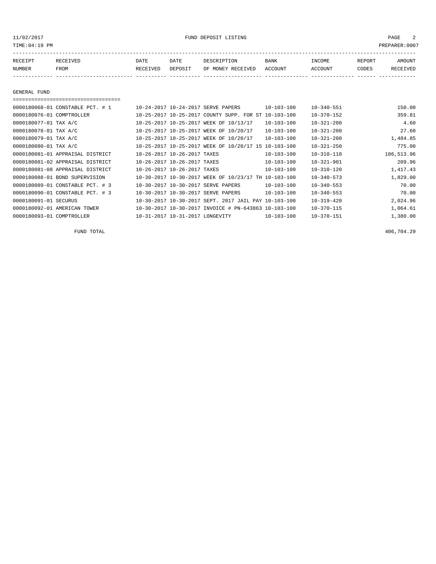11/02/2017 FUND DEPOSIT LISTING PAGE 2

| RECEIPT | <b>RECEIVED</b> | DATE     | DATE    | DESCRIPTION       | <b>BANK</b> | INCOME  | <b>REPORT</b> | AMOUNT          |
|---------|-----------------|----------|---------|-------------------|-------------|---------|---------------|-----------------|
| NUMBER  | FROM            | RECEIVED | DEPOSIT | OF MONEY RECEIVED | ACCOUNT     | ACCOUNT | CODES         | <b>RECEIVED</b> |
|         |                 |          |         |                   |             |         |               |                 |

GENERAL FUND

| 0000180068-01 CONSTABLE PCT. # 1 | 10-24-2017 10-24-2017 SERVE PAPERS                   | $10 - 103 - 100$ | $10 - 340 - 551$ | 150.00     |
|----------------------------------|------------------------------------------------------|------------------|------------------|------------|
| 0000180076-01 COMPTROLLER        | 10-25-2017 10-25-2017 COUNTY SUPP. FOR ST 10-103-100 |                  | $10 - 370 - 152$ | 359.81     |
| 0000180077-01 TAX A/C            | 10-25-2017 10-25-2017 WEEK OF 10/13/17               | $10 - 103 - 100$ | $10 - 321 - 200$ | 4.60       |
| 0000180078-01 TAX A/C            | 10-25-2017 10-25-2017 WEEK OF 10/20/17               | $10 - 103 - 100$ | $10 - 321 - 200$ | 27.60      |
| 0000180079-01 TAX A/C            | 10-25-2017 10-25-2017 WEEK OF 10/20/17               | $10 - 103 - 100$ | $10 - 321 - 200$ | 1,484.85   |
| 0000180080-01 TAX A/C            | 10-25-2017 10-25-2017 WEEK OF 10/20/17 15 10-103-100 |                  | $10 - 321 - 250$ | 775.00     |
| 0000180081-01 APPRAISAL DISTRICT | 10-26-2017 10-26-2017 TAXES                          | $10 - 103 - 100$ | $10 - 310 - 110$ | 186,513.96 |
| 0000180081-02 APPRAISAL DISTRICT | 10-26-2017 10-26-2017 TAXES                          | $10 - 103 - 100$ | $10 - 321 - 901$ | 209.96     |
| 0000180081-08 APPRAISAL DISTRICT | 10-26-2017 10-26-2017 TAXES                          | $10 - 103 - 100$ | $10 - 310 - 120$ | 1,417.43   |
| 0000180088-01 BOND SUPERVISION   | 10-30-2017 10-30-2017 WEEK OF 10/23/17 TH 10-103-100 |                  | $10 - 340 - 573$ | 1,829.00   |
| 0000180089-01 CONSTABLE PCT. # 3 | 10-30-2017 10-30-2017 SERVE PAPERS                   | $10 - 103 - 100$ | $10 - 340 - 553$ | 70.00      |
| 0000180090-01 CONSTABLE PCT. # 3 | 10-30-2017 10-30-2017 SERVE PAPERS                   | $10 - 103 - 100$ | $10 - 340 - 553$ | 70.00      |
| 0000180091-01 SECURUS            | 10-30-2017 10-30-2017 SEPT. 2017 JAIL PAY 10-103-100 |                  | $10 - 319 - 420$ | 2,024.96   |
| 0000180092-01 AMERICAN TOWER     | 10-30-2017 10-30-2017 INVOICE # PN-643863 10-103-100 |                  | $10 - 370 - 115$ | 1,064.61   |
| 0000180093-01 COMPTROLLER        | 10-31-2017 10-31-2017 LONGEVITY                      | $10 - 103 - 100$ | $10 - 370 - 151$ | 1,380.00   |

FUND TOTAL 406,704.29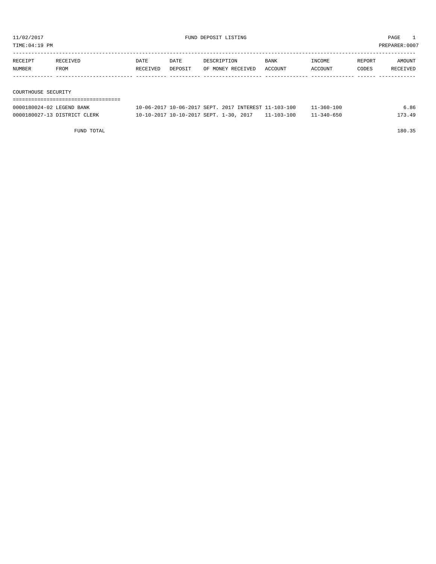TIME:04:19 PM PREPARER:0007

| RECEIPT             | RECEIVED | DATE     | DATE    | DESCRIPTION       | <b>BANK</b> | INCOME  | REPORT | AMOUNT   |
|---------------------|----------|----------|---------|-------------------|-------------|---------|--------|----------|
| NUMBER              | FROM     | RECEIVED | DEPOSIT | OF MONEY RECEIVED | ACCOUNT     | ACCOUNT | CODES  | RECEIVED |
|                     |          |          |         |                   |             |         |        |          |
|                     |          |          |         |                   |             |         |        |          |
| COURTHOUSE SECURITY |          |          |         |                   |             |         |        |          |

| 0000180024-02 LEGEND BANK    | 10-06-2017 10-06-2017 SEPT, 2017 INTEREST 11-103-100         |  | 11-360-100 | 6.86   |
|------------------------------|--------------------------------------------------------------|--|------------|--------|
| 0000180027-13 DISTRICT CLERK | $10-10-2017$ $10-10-2017$ SEPT, $1-30$ , $2017$ $11-103-100$ |  | 11-340-650 | 173.49 |

FUND TOTAL 180.35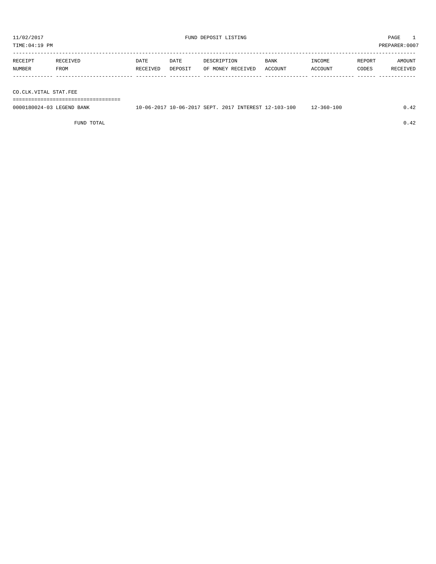TIME:04:19 PM PREPARER:0007 ----------------------------------------------------------------------------------------------------------------------------------- RECEIPT RECEIVED DATE DATE DESCRIPTION BANK INCOME REPORT AMOUNT

| . H           |             | JA T | JA T           |                            | BANK           | ∵JMI I | אני ?<br>. |  |
|---------------|-------------|------|----------------|----------------------------|----------------|--------|------------|--|
| <b>NUMBER</b> | <b>FROM</b> | T1T  | <b>DEDOCTT</b> | RECEIVED<br>ੈ*∩™ਾ -<br>.)F | ''OUN'<br>ΔC 1 | "OUN"  | CODES      |  |
|               |             |      |                |                            |                |        |            |  |

CO.CLK.VITAL STAT.FEE

===================================

| 0000180024-03<br>LEGEND<br>BANK | -06–20 | 10-06-2017 SEPT. | 2017 | INTEREST 12 | $2 - 103 - 100$ | 100<br>360-<br>$\lambda -$ |  |
|---------------------------------|--------|------------------|------|-------------|-----------------|----------------------------|--|
|                                 |        |                  |      |             |                 |                            |  |

FUND TOTAL  $0.42$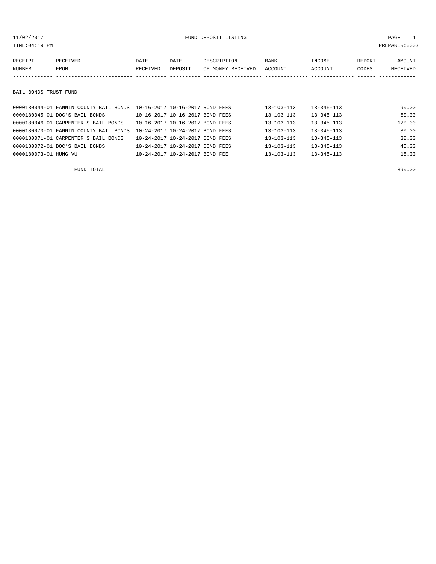# 11/02/2017 FUND DEPOSIT LISTING PAGE 1

| RECEIPT | RECEIVED              | DATE     | DATE    | DESCRIPTION       | BANK    | INCOME  | REPORT | AMOUNT   |  |  |
|---------|-----------------------|----------|---------|-------------------|---------|---------|--------|----------|--|--|
| NUMBER  | FROM                  | RECEIVED | DEPOSIT | OF MONEY RECEIVED | ACCOUNT | ACCOUNT | CODES  | RECEIVED |  |  |
|         |                       |          |         |                   |         |         |        |          |  |  |
|         |                       |          |         |                   |         |         |        |          |  |  |
|         | BAIL BONDS TRUST FUND |          |         |                   |         |         |        |          |  |  |
|         |                       |          |         |                   |         |         |        |          |  |  |

| 0000180044-01 FANNIN COUNTY BAIL BONDS | 10-16-2017 10-16-2017 BOND FEES | $13 - 103 - 113$ | $13 - 345 - 113$ | 90.00  |
|----------------------------------------|---------------------------------|------------------|------------------|--------|
| 0000180045-01 DOC'S BAIL BONDS         | 10-16-2017 10-16-2017 BOND FEES | $13 - 103 - 113$ | $13 - 345 - 113$ | 60.00  |
| 0000180046-01 CARPENTER'S BAIL BONDS   | 10-16-2017 10-16-2017 BOND FEES | $13 - 103 - 113$ | $13 - 345 - 113$ | 120.00 |
| 0000180070-01 FANNIN COUNTY BAIL BONDS | 10-24-2017 10-24-2017 BOND FEES | $13 - 103 - 113$ | $13 - 345 - 113$ | 30.00  |
| 0000180071-01 CARPENTER'S BAIL BONDS   | 10-24-2017 10-24-2017 BOND FEES | $13 - 103 - 113$ | $13 - 345 - 113$ | 30.00  |
| 0000180072-01 DOC'S BAIL BONDS         | 10-24-2017 10-24-2017 BOND FEES | $13 - 103 - 113$ | $13 - 345 - 113$ | 45.00  |
| 0000180073-01 HUNG VU                  | 10-24-2017 10-24-2017 BOND FEE  | $13 - 103 - 113$ | $13 - 345 - 113$ | 15.00  |

FUND TOTAL 390.00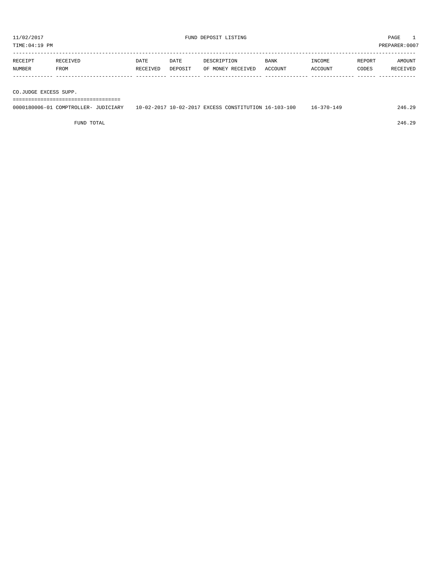| RECEIPT | <b>RECEIVED</b> | DATE     | DATE    | DESCRIPTION       | <b>BANK</b> | <b>TNCOME</b> | REPORT | AMOUNT          |
|---------|-----------------|----------|---------|-------------------|-------------|---------------|--------|-----------------|
| NUMBER  | FROM            | RECEIVED | DEPOSIT | OF MONEY RECEIVED | ACCOUNT     | ACCOUNT       | CODES  | <b>RECEIVED</b> |
|         |                 |          |         |                   |             |               |        |                 |

CO.JUDGE EXCESS SUPP.

===================================

| 0000180006-01<br>L COMPTROLLER-<br><b>JICIARY</b> | 10-02-2017 10-02-2017 | CONSTITUTION 16-103-1<br>FXCESS (<br>-100 | $16 - 370 - 7$<br>$\cdot$ 4 $\cdot$ | 29<br>246.2 |
|---------------------------------------------------|-----------------------|-------------------------------------------|-------------------------------------|-------------|
|                                                   |                       |                                           |                                     |             |

FUND TOTAL 246.29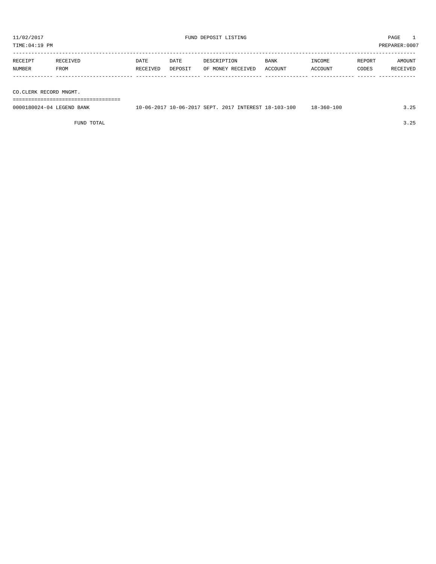TIME:04:19 PM PREPARER:0007 ----------------------------------------------------------------------------------------------------------------------------------- RECEIPT RECEIVED DATE DATE DESCRIPTION BANK INCOME REPORT AMOUNT NUMBER FROM RECEIVED DEPOSIT OF MONEY RECEIVED ACCOUNT ACCOUNT CODES RECEIVED ------------- ------------------------- ---------- ---------- ------------------- -------------- -------------- ------ ------------

CO.CLERK RECORD MNGMT.

===================================

| 0000180024-04 LEGEND BANK |  |  | 10-06-2017 10-06-2017 SEPT. 2017 INTEREST 18-103-100 | 18-360-100 | 3.25 |
|---------------------------|--|--|------------------------------------------------------|------------|------|
|                           |  |  |                                                      |            |      |

FUND TOTAL 3.25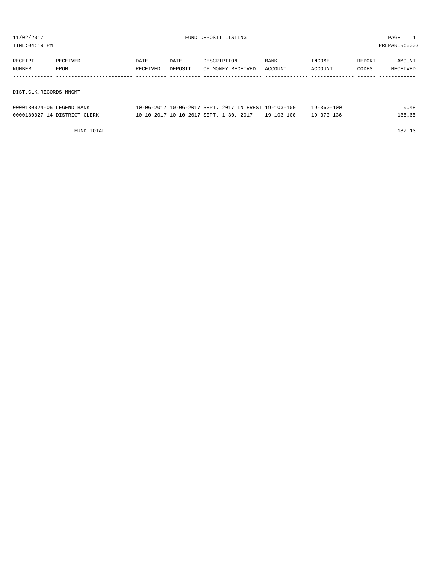TIME:04:19 PM PREPARER:0007

| RECEIPT                 | RECEIVED | <b>DATE</b> | DATE    | DESCRIPTION       | BANK    | INCOME  | REPORT | AMOUNT   |
|-------------------------|----------|-------------|---------|-------------------|---------|---------|--------|----------|
| NUMBER                  | FROM     | RECEIVED    | DEPOSIT | OF MONEY RECEIVED | ACCOUNT | ACCOUNT | CODES  | RECEIVED |
|                         |          |             |         |                   |         |         |        |          |
|                         |          |             |         |                   |         |         |        |          |
| DIST.CLK.RECORDS MNGMT. |          |             |         |                   |         |         |        |          |

| 0000180024-05 LEGEND BANK    |                                                              | 10-06-2017 10-06-2017 SEPT, 2017 INTEREST 19-103-100 |  | $19 - 360 - 100$ | 0.48   |
|------------------------------|--------------------------------------------------------------|------------------------------------------------------|--|------------------|--------|
| 0000180027-14 DISTRICT CLERK | $10-10-2017$ $10-10-2017$ SEPT, $1-30$ , $2017$ $19-103-100$ |                                                      |  | $19 - 370 - 136$ | 186.65 |

FUND TOTAL 187.13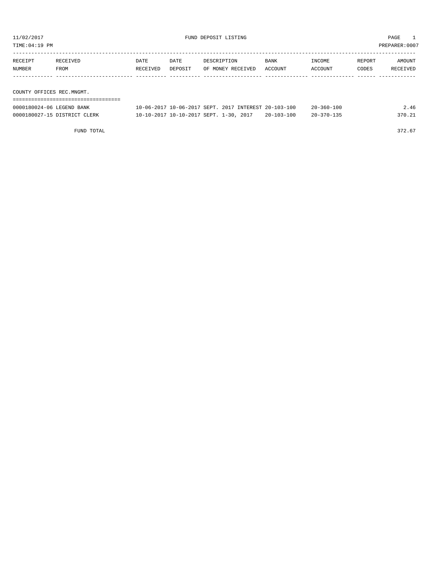TIME:04:19 PM PREPARER:0007

| RECEIPT | RECEIVED                  | DATE     | DATE    | DESCRIPTION       | BANK    | INCOME  | REPORT | AMOUNT   |  |  |  |
|---------|---------------------------|----------|---------|-------------------|---------|---------|--------|----------|--|--|--|
| NUMBER  | FROM                      | RECEIVED | DEPOSIT | OF MONEY RECEIVED | ACCOUNT | ACCOUNT | CODES  | RECEIVED |  |  |  |
|         |                           |          |         |                   |         |         |        |          |  |  |  |
|         |                           |          |         |                   |         |         |        |          |  |  |  |
|         | COUNTY OFFICES REC.MNGMT. |          |         |                   |         |         |        |          |  |  |  |
|         |                           |          |         |                   |         |         |        |          |  |  |  |

| 0000180024-06 LEGEND BANK    | 10-06-2017 10-06-2017 SEPT. 2017 INTEREST 20-103-100 |                  | $20 - 360 - 100$ | 2.46   |
|------------------------------|------------------------------------------------------|------------------|------------------|--------|
| 0000180027-15 DISTRICT CLERK | 10-10-2017 10-10-2017 SEPT. 1-30, 2017               | $20 - 103 - 100$ | $20 - 370 - 135$ | 370.21 |

FUND TOTAL 372.67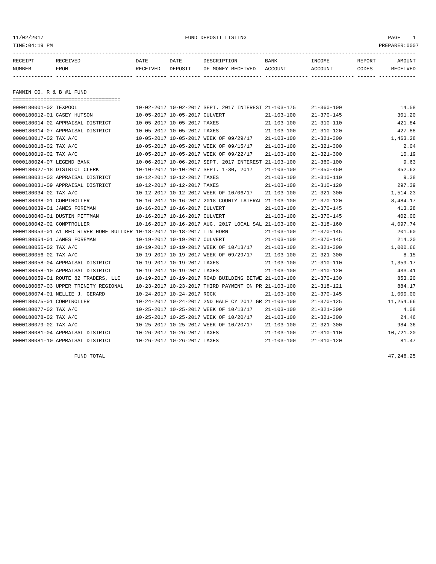11/02/2017 FUND DEPOSIT LISTING PAGE 1

| RECEIPT | <b>RECEIVED</b> | DATE            | DATE    | DESCRIPTION       | <b>BANK</b> | INCOME  | REPORT | AMOUNT   |
|---------|-----------------|-----------------|---------|-------------------|-------------|---------|--------|----------|
| NUMBER  | FROM            | <b>RECEIVED</b> | DEPOSIT | OF MONEY RECEIVED | ACCOUNT     | ACCOUNT | CODES  | RECEIVED |
|         |                 |                 |         |                   |             |         |        |          |

FANNIN CO. R & B #1 FUND

| ======================================                                 |                                                      |                                                      |                  |                  |           |
|------------------------------------------------------------------------|------------------------------------------------------|------------------------------------------------------|------------------|------------------|-----------|
| 0000180001-02 TEXPOOL                                                  |                                                      | 10-02-2017 10-02-2017 SEPT, 2017 INTEREST 21-103-175 |                  | $21 - 360 - 100$ | 14.58     |
| 0000180012-01 CASEY HUTSON                                             | 10-05-2017 10-05-2017 CULVERT                        |                                                      | $21 - 103 - 100$ | $21 - 370 - 145$ | 301.20    |
| 0000180014-02 APPRAISAL DISTRICT                                       | 10-05-2017 10-05-2017 TAXES                          |                                                      | $21 - 103 - 100$ | $21 - 310 - 110$ | 421.84    |
| 0000180014-07 APPRAISAL DISTRICT                                       | 10-05-2017 10-05-2017 TAXES                          |                                                      | $21 - 103 - 100$ | $21 - 310 - 120$ | 427.88    |
| 0000180017-02 TAX A/C                                                  | 10-05-2017 10-05-2017 WEEK OF 09/29/17               |                                                      | $21 - 103 - 100$ | $21 - 321 - 300$ | 1,463.28  |
| 0000180018-02 TAX A/C                                                  | 10-05-2017 10-05-2017 WEEK OF 09/15/17               |                                                      | $21 - 103 - 100$ | $21 - 321 - 300$ | 2.04      |
| 0000180019-02 TAX A/C                                                  | 10-05-2017 10-05-2017 WEEK OF 09/22/17               |                                                      | $21 - 103 - 100$ | $21 - 321 - 300$ | 10.19     |
| 0000180024-07 LEGEND BANK                                              |                                                      | 10-06-2017 10-06-2017 SEPT, 2017 INTEREST 21-103-100 |                  | $21 - 360 - 100$ | 9.63      |
| 0000180027-18 DISTRICT CLERK                                           | 10-10-2017 10-10-2017 SEPT. 1-30, 2017               |                                                      | $21 - 103 - 100$ | $21 - 350 - 450$ | 352.63    |
| 0000180031-03 APPRAISAL DISTRICT                                       | 10-12-2017 10-12-2017 TAXES                          |                                                      | $21 - 103 - 100$ | $21 - 310 - 110$ | 9.38      |
| 0000180031-09 APPRAISAL DISTRICT                                       | 10-12-2017 10-12-2017 TAXES                          |                                                      | $21 - 103 - 100$ | $21 - 310 - 120$ | 297.39    |
| 0000180034-02 TAX A/C                                                  | 10-12-2017 10-12-2017 WEEK OF 10/06/17               |                                                      | $21 - 103 - 100$ | $21 - 321 - 300$ | 1,514.23  |
| 0000180038-01 COMPTROLLER                                              | 10-16-2017 10-16-2017 2018 COUNTY LATERAL 21-103-100 |                                                      |                  | $21 - 370 - 120$ | 8,484.17  |
| 0000180039-01 JAMES FOREMAN                                            | 10-16-2017 10-16-2017 CULVERT                        |                                                      | $21 - 103 - 100$ | $21 - 370 - 145$ | 413.28    |
| 0000180040-01 DUSTIN PITTMAN                                           | 10-16-2017 10-16-2017 CULVERT                        |                                                      | $21 - 103 - 100$ | $21 - 370 - 145$ | 402.00    |
| 0000180042-02 COMPTROLLER                                              |                                                      | 10-16-2017 10-16-2017 AUG. 2017 LOCAL SAL 21-103-100 |                  | $21 - 318 - 160$ | 4,097.74  |
| 0000180053-01 A1 RED RIVER HOME BUILDER 10-18-2017 10-18-2017 TIN HORN |                                                      |                                                      | $21 - 103 - 100$ | $21 - 370 - 145$ | 201.60    |
| 0000180054-01 JAMES FOREMAN                                            | 10-19-2017 10-19-2017 CULVERT                        |                                                      | $21 - 103 - 100$ | $21 - 370 - 145$ | 214.20    |
| 0000180055-02 TAX A/C                                                  | 10-19-2017 10-19-2017 WEEK OF 10/13/17               |                                                      | 21-103-100       | $21 - 321 - 300$ | 1,000.66  |
| 0000180056-02 TAX A/C                                                  | 10-19-2017 10-19-2017 WEEK OF 09/29/17               |                                                      | $21 - 103 - 100$ | $21 - 321 - 300$ | 8.15      |
| 0000180058-04 APPRAISAL DISTRICT                                       | 10-19-2017 10-19-2017 TAXES                          |                                                      | $21 - 103 - 100$ | $21 - 310 - 110$ | 1,359.17  |
| 0000180058-10 APPRAISAL DISTRICT                                       | 10-19-2017 10-19-2017 TAXES                          |                                                      | $21 - 103 - 100$ | $21 - 310 - 120$ | 433.41    |
| 0000180059-01 ROUTE 82 TRADERS, LLC                                    |                                                      | 10-19-2017 10-19-2017 ROAD BUILDING BETWE 21-103-100 |                  | $21 - 370 - 130$ | 853.20    |
| 0000180067-03 UPPER TRINITY REGIONAL                                   |                                                      | 10-23-2017 10-23-2017 THIRD PAYMENT ON PR 21-103-100 |                  | $21 - 318 - 121$ | 884.17    |
| 0000180074-01 NELLIE J. GERARD                                         | 10-24-2017 10-24-2017 ROCK                           |                                                      | $21 - 103 - 100$ | $21 - 370 - 145$ | 1,000.00  |
| 0000180075-01 COMPTROLLER                                              |                                                      | 10-24-2017 10-24-2017 2ND HALF CY 2017 GR 21-103-100 |                  | $21 - 370 - 125$ | 11,254.66 |
| 0000180077-02 TAX A/C                                                  | 10-25-2017 10-25-2017 WEEK OF 10/13/17               |                                                      | $21 - 103 - 100$ | $21 - 321 - 300$ | 4.08      |
| 0000180078-02 TAX A/C                                                  | 10-25-2017 10-25-2017 WEEK OF 10/20/17               |                                                      | $21 - 103 - 100$ | $21 - 321 - 300$ | 24.46     |
| 0000180079-02 TAX A/C                                                  | 10-25-2017 10-25-2017 WEEK OF 10/20/17               |                                                      | $21 - 103 - 100$ | $21 - 321 - 300$ | 984.36    |
| 0000180081-04 APPRAISAL DISTRICT                                       | 10-26-2017 10-26-2017 TAXES                          |                                                      | $21 - 103 - 100$ | $21 - 310 - 110$ | 10,721.20 |
| 0000180081-10 APPRAISAL DISTRICT                                       | 10-26-2017 10-26-2017 TAXES                          |                                                      | $21 - 103 - 100$ | $21 - 310 - 120$ | 81.47     |

FUND TOTAL  $47,246.25$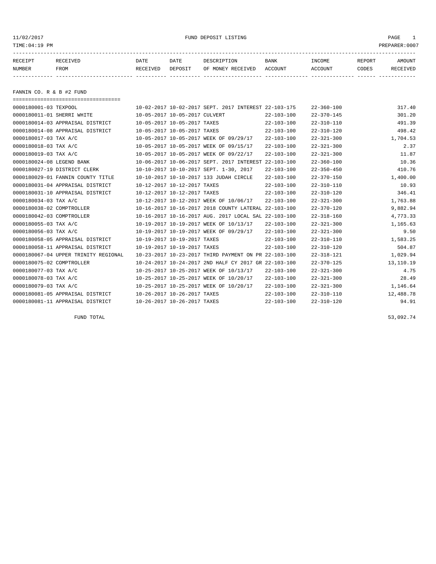# 11/02/2017 FUND DEPOSIT LISTING PAGE 1

| RECEIPT | RECEIVED | DATE     | DATE    | DESCRIPTION       | <b>BANK</b> | <b>INCOME</b> | REPORT | AMOUNT          |
|---------|----------|----------|---------|-------------------|-------------|---------------|--------|-----------------|
| NUMBER  | FROM     | RECEIVED | DEPOSIT | OF MONEY RECEIVED | ACCOUNT     | ACCOUNT       | CODES  | <b>RECEIVED</b> |
|         |          |          |         |                   |             |               |        |                 |

FANNIN CO. R & B #2 FUND

| ===================================== |                                                      |                  |                  |           |
|---------------------------------------|------------------------------------------------------|------------------|------------------|-----------|
| 0000180001-03 TEXPOOL                 | 10-02-2017 10-02-2017 SEPT. 2017 INTEREST 22-103-175 |                  | $22 - 360 - 100$ | 317.40    |
| 0000180011-01 SHERRI WHITE            | 10-05-2017 10-05-2017 CULVERT                        | $22 - 103 - 100$ | $22 - 370 - 145$ | 301.20    |
| 0000180014-03 APPRAISAL DISTRICT      | 10-05-2017 10-05-2017 TAXES                          | $22 - 103 - 100$ | $22 - 310 - 110$ | 491.39    |
| 0000180014-08 APPRAISAL DISTRICT      | 10-05-2017 10-05-2017 TAXES                          | $22 - 103 - 100$ | $22 - 310 - 120$ | 498.42    |
| 0000180017-03 TAX A/C                 | 10-05-2017 10-05-2017 WEEK OF 09/29/17               | $22 - 103 - 100$ | $22 - 321 - 300$ | 1,704.53  |
| 0000180018-03 TAX A/C                 | 10-05-2017 10-05-2017 WEEK OF 09/15/17               | $22 - 103 - 100$ | $22 - 321 - 300$ | 2.37      |
| 0000180019-03 TAX A/C                 | 10-05-2017 10-05-2017 WEEK OF 09/22/17               | $22 - 103 - 100$ | $22 - 321 - 300$ | 11.87     |
| 0000180024-08 LEGEND BANK             | 10-06-2017 10-06-2017 SEPT. 2017 INTEREST            | 22-103-100       | $22 - 360 - 100$ | 10.36     |
| 0000180027-19 DISTRICT CLERK          | 10-10-2017 10-10-2017 SEPT. 1-30, 2017               | $22 - 103 - 100$ | $22 - 350 - 450$ | 410.76    |
| 0000180029-01 FANNIN COUNTY TITLE     | 10-10-2017 10-10-2017 133 JUDAH CIRCLE               | $22 - 103 - 100$ | $22 - 370 - 150$ | 1,400.00  |
| 0000180031-04 APPRAISAL DISTRICT      | 10-12-2017 10-12-2017 TAXES                          | $22 - 103 - 100$ | $22 - 310 - 110$ | 10.93     |
| 0000180031-10 APPRAISAL DISTRICT      | 10-12-2017 10-12-2017 TAXES                          | $22 - 103 - 100$ | $22 - 310 - 120$ | 346.41    |
| 0000180034-03 TAX A/C                 | 10-12-2017 10-12-2017 WEEK OF 10/06/17               | $22 - 103 - 100$ | $22 - 321 - 300$ | 1,763.88  |
| 0000180038-02 COMPTROLLER             | 10-16-2017 10-16-2017 2018 COUNTY LATERAL 22-103-100 |                  | $22 - 370 - 120$ | 9,882.94  |
| 0000180042-03 COMPTROLLER             | 10-16-2017 10-16-2017 AUG. 2017 LOCAL SAL 22-103-100 |                  | $22 - 318 - 160$ | 4,773.33  |
| 0000180055-03 TAX A/C                 | 10-19-2017 10-19-2017 WEEK OF 10/13/17               | $22 - 103 - 100$ | $22 - 321 - 300$ | 1,165.63  |
| 0000180056-03 TAX A/C                 | 10-19-2017 10-19-2017 WEEK OF 09/29/17               | $22 - 103 - 100$ | $22 - 321 - 300$ | 9.50      |
| 0000180058-05 APPRAISAL DISTRICT      | 10-19-2017 10-19-2017 TAXES                          | $22 - 103 - 100$ | $22 - 310 - 110$ | 1,583.25  |
| 0000180058-11 APPRAISAL DISTRICT      | 10-19-2017 10-19-2017 TAXES                          | $22 - 103 - 100$ | $22 - 310 - 120$ | 504.87    |
| 0000180067-04 UPPER TRINITY REGIONAL  | 10-23-2017 10-23-2017 THIRD PAYMENT ON PR 22-103-100 |                  | $22 - 318 - 121$ | 1,029.94  |
| 0000180075-02 COMPTROLLER             | 10-24-2017 10-24-2017 2ND HALF CY 2017 GR 22-103-100 |                  | $22 - 370 - 125$ | 13,110.19 |
| 0000180077-03 TAX A/C                 | 10-25-2017 10-25-2017 WEEK OF 10/13/17               | $22 - 103 - 100$ | $22 - 321 - 300$ | 4.75      |
| 0000180078-03 TAX A/C                 | 10-25-2017 10-25-2017 WEEK OF 10/20/17               | $22 - 103 - 100$ | $22 - 321 - 300$ | 28.49     |
| 0000180079-03 TAX A/C                 | 10-25-2017 10-25-2017 WEEK OF 10/20/17               | $22 - 103 - 100$ | $22 - 321 - 300$ | 1,146.64  |
| 0000180081-05 APPRAISAL DISTRICT      | 10-26-2017 10-26-2017 TAXES                          | $22 - 103 - 100$ | $22 - 310 - 110$ | 12,488.78 |
| 0000180081-11 APPRAISAL DISTRICT      | 10-26-2017 10-26-2017 TAXES                          | $22 - 103 - 100$ | $22 - 310 - 120$ | 94.91     |

FUND TOTAL  $53,092.74$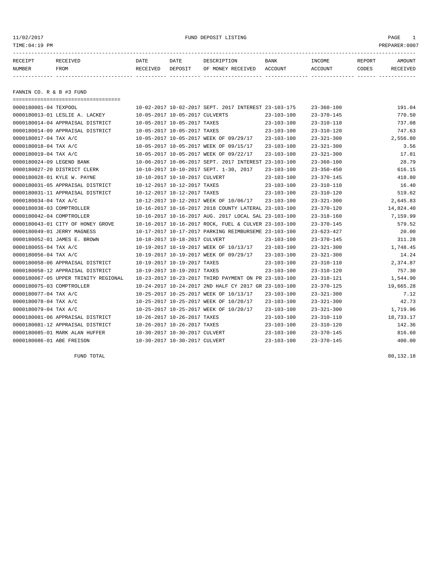11/02/2017 FUND DEPOSIT LISTING PAGE 1

| RECEIPT | <b>RECEIVED</b> | DATE     | DATE    | DESCRIPTION          | <b>BANK</b>    | INCOME  | <b>REPORT</b> | AMOUNT          |
|---------|-----------------|----------|---------|----------------------|----------------|---------|---------------|-----------------|
| NUMBER  | FROM            | RECEIVED | DEPOSIT | RECEIVED<br>OF MONEY | <b>ACCOUNT</b> | ACCOUNT | CODES         | <b>RECEIVED</b> |
|         |                 |          |         |                      |                |         |               |                 |

FANNIN CO. R & B #3 FUND

| ====================================== |                                                      |                  |                  |           |
|----------------------------------------|------------------------------------------------------|------------------|------------------|-----------|
| 0000180001-04 TEXPOOL                  | 10-02-2017 10-02-2017 SEPT. 2017 INTEREST 23-103-175 |                  | $23 - 360 - 100$ | 191.04    |
| 0000180013-01 LESLIE A. LACKEY         | 10-05-2017 10-05-2017 CULVERTS                       | $23 - 103 - 100$ | $23 - 370 - 145$ | 770.50    |
| 0000180014-04 APPRAISAL DISTRICT       | 10-05-2017 10-05-2017 TAXES                          | $23 - 103 - 100$ | $23 - 310 - 110$ | 737.08    |
| 0000180014-09 APPRAISAL DISTRICT       | 10-05-2017 10-05-2017 TAXES                          | $23 - 103 - 100$ | $23 - 310 - 120$ | 747.63    |
| 0000180017-04 TAX A/C                  | 10-05-2017 10-05-2017 WEEK OF 09/29/17               | $23 - 103 - 100$ | $23 - 321 - 300$ | 2,556.80  |
| 0000180018-04 TAX A/C                  | 10-05-2017 10-05-2017 WEEK OF 09/15/17               | $23 - 103 - 100$ | $23 - 321 - 300$ | 3.56      |
| 0000180019-04 TAX A/C                  | 10-05-2017 10-05-2017 WEEK OF 09/22/17               | $23 - 103 - 100$ | $23 - 321 - 300$ | 17.81     |
| 0000180024-09 LEGEND BANK              | 10-06-2017 10-06-2017 SEPT. 2017 INTEREST 23-103-100 |                  | $23 - 360 - 100$ | 28.79     |
| 0000180027-20 DISTRICT CLERK           | 10-10-2017 10-10-2017 SEPT. 1-30, 2017               | $23 - 103 - 100$ | $23 - 350 - 450$ | 616.15    |
| 0000180028-01 KYLE W. PAYNE            | 10-10-2017 10-10-2017 CULVERT                        | $23 - 103 - 100$ | $23 - 370 - 145$ | 418.80    |
| 0000180031-05 APPRAISAL DISTRICT       | 10-12-2017 10-12-2017 TAXES                          | 23-103-100       | $23 - 310 - 110$ | 16.40     |
| 0000180031-11 APPRAISAL DISTRICT       | 10-12-2017 10-12-2017 TAXES                          | $23 - 103 - 100$ | $23 - 310 - 120$ | 519.62    |
| 0000180034-04 TAX A/C                  | 10-12-2017 10-12-2017 WEEK OF 10/06/17               | 23-103-100       | $23 - 321 - 300$ | 2,645.83  |
| 0000180038-03 COMPTROLLER              | 10-16-2017 10-16-2017 2018 COUNTY LATERAL 23-103-100 |                  | $23 - 370 - 120$ | 14,824.40 |
| 0000180042-04 COMPTROLLER              | 10-16-2017 10-16-2017 AUG. 2017 LOCAL SAL 23-103-100 |                  | $23 - 318 - 160$ | 7,159.99  |
| 0000180043-01 CITY OF HONEY GROVE      | 10-16-2017 10-16-2017 ROCK, FUEL & CULVER 23-103-100 |                  | $23 - 370 - 145$ | 579.52    |
| 0000180049-01 JERRY MAGNESS            | 10-17-2017 10-17-2017 PARKING REIMBURSEME 23-103-100 |                  | $23 - 623 - 427$ | 20.00     |
| 0000180052-01 JAMES E. BROWN           | 10-18-2017 10-18-2017 CULVERT                        | $23 - 103 - 100$ | $23 - 370 - 145$ | 311.28    |
| 0000180055-04 TAX A/C                  | 10-19-2017 10-19-2017 WEEK OF 10/13/17 23-103-100    |                  | $23 - 321 - 300$ | 1,748.45  |
| 0000180056-04 TAX A/C                  | 10-19-2017 10-19-2017 WEEK OF 09/29/17               | $23 - 103 - 100$ | $23 - 321 - 300$ | 14.24     |
| 0000180058-06 APPRAISAL DISTRICT       | 10-19-2017 10-19-2017 TAXES                          | $23 - 103 - 100$ | $23 - 310 - 110$ | 2,374.87  |
| 0000180058-12 APPRAISAL DISTRICT       | 10-19-2017 10-19-2017 TAXES                          | $23 - 103 - 100$ | $23 - 310 - 120$ | 757.30    |
| 0000180067-05 UPPER TRINITY REGIONAL   | 10-23-2017 10-23-2017 THIRD PAYMENT ON PR 23-103-100 |                  | $23 - 318 - 121$ | 1,544.90  |
| 0000180075-03 COMPTROLLER              | 10-24-2017 10-24-2017 2ND HALF CY 2017 GR 23-103-100 |                  | $23 - 370 - 125$ | 19,665.28 |
| 0000180077-04 TAX A/C                  | 10-25-2017 10-25-2017 WEEK OF 10/13/17               | $23 - 103 - 100$ | $23 - 321 - 300$ | 7.12      |
| 0000180078-04 TAX A/C                  | 10-25-2017 10-25-2017 WEEK OF 10/20/17               | $23 - 103 - 100$ | $23 - 321 - 300$ | 42.73     |
| 0000180079-04 TAX A/C                  | 10-25-2017 10-25-2017 WEEK OF 10/20/17               | $23 - 103 - 100$ | $23 - 321 - 300$ | 1,719.96  |
| 0000180081-06 APPRAISAL DISTRICT       | 10-26-2017 10-26-2017 TAXES                          | $23 - 103 - 100$ | $23 - 310 - 110$ | 18,733.17 |
| 0000180081-12 APPRAISAL DISTRICT       | 10-26-2017 10-26-2017 TAXES                          | $23 - 103 - 100$ | $23 - 310 - 120$ | 142.36    |
| 0000180085-01 MARK ALAN HUFFER         | 10-30-2017 10-30-2017 CULVERT                        | $23 - 103 - 100$ | $23 - 370 - 145$ | 816.60    |
| 0000180086-01 ABE FREISON              | 10-30-2017 10-30-2017 CULVERT                        | $23 - 103 - 100$ | $23 - 370 - 145$ | 400.00    |

FUND TOTAL  $80,132.18$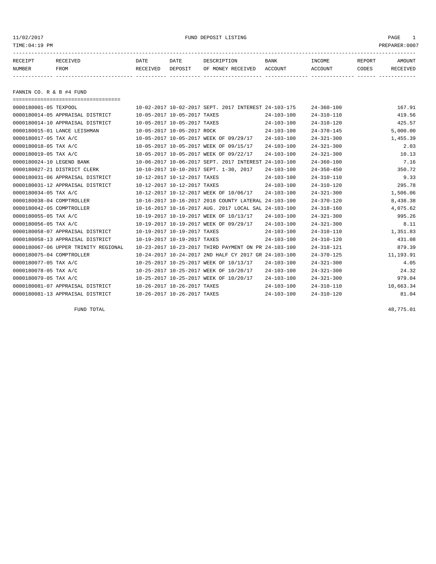11/02/2017 FUND DEPOSIT LISTING PAGE 1

| RECEIPT | <b>RECEIVED</b> | DATE     | DATE    | DESCRIPTION          | <b>BANK</b>    | INCOME  | <b>REPORT</b> | AMOUNT          |
|---------|-----------------|----------|---------|----------------------|----------------|---------|---------------|-----------------|
| NUMBER  | FROM            | RECEIVED | DEPOSIT | RECEIVED<br>OF MONEY | <b>ACCOUNT</b> | ACCOUNT | CODES         | <b>RECEIVED</b> |
|         |                 |          |         |                      |                |         |               |                 |

FANNIN CO. R & B #4 FUND

| ==================================== |                                        |                                                      |                  |                  |           |
|--------------------------------------|----------------------------------------|------------------------------------------------------|------------------|------------------|-----------|
| 0000180001-05 TEXPOOL                |                                        | 10-02-2017 10-02-2017 SEPT. 2017 INTEREST 24-103-175 |                  | $24 - 360 - 100$ | 167.91    |
| 0000180014-05 APPRAISAL DISTRICT     | 10-05-2017 10-05-2017 TAXES            |                                                      | $24 - 103 - 100$ | $24 - 310 - 110$ | 419.56    |
| 0000180014-10 APPRAISAL DISTRICT     | 10-05-2017 10-05-2017 TAXES            |                                                      | $24 - 103 - 100$ | $24 - 310 - 120$ | 425.57    |
| 0000180015-01 LANCE LEISHMAN         | 10-05-2017 10-05-2017 ROCK             |                                                      | $24 - 103 - 100$ | $24 - 370 - 145$ | 5,000.00  |
| 0000180017-05 TAX A/C                |                                        | 10-05-2017 10-05-2017 WEEK OF 09/29/17               | $24 - 103 - 100$ | $24 - 321 - 300$ | 1,455.39  |
| 0000180018-05 TAX A/C                | 10-05-2017 10-05-2017 WEEK OF 09/15/17 |                                                      | $24 - 103 - 100$ | $24 - 321 - 300$ | 2.03      |
| 0000180019-05 TAX A/C                | 10-05-2017 10-05-2017 WEEK OF 09/22/17 |                                                      | $24 - 103 - 100$ | $24 - 321 - 300$ | 10.13     |
| 0000180024-10 LEGEND BANK            |                                        | 10-06-2017 10-06-2017 SEPT. 2017 INTEREST            | $24 - 103 - 100$ | $24 - 360 - 100$ | 7.16      |
| 0000180027-21 DISTRICT CLERK         |                                        | 10-10-2017 10-10-2017 SEPT. 1-30, 2017               | $24 - 103 - 100$ | $24 - 350 - 450$ | 350.72    |
| 0000180031-06 APPRAISAL DISTRICT     | 10-12-2017 10-12-2017 TAXES            |                                                      | $24 - 103 - 100$ | $24 - 310 - 110$ | 9.33      |
| 0000180031-12 APPRAISAL DISTRICT     | 10-12-2017 10-12-2017 TAXES            |                                                      | $24 - 103 - 100$ | $24 - 310 - 120$ | 295.78    |
| 0000180034-05 TAX A/C                |                                        | 10-12-2017 10-12-2017 WEEK OF 10/06/17               | $24 - 103 - 100$ | $24 - 321 - 300$ | 1,506.06  |
| 0000180038-04 COMPTROLLER            |                                        | 10-16-2017 10-16-2017 2018 COUNTY LATERAL 24-103-100 |                  | $24 - 370 - 120$ | 8,438.38  |
| 0000180042-05 COMPTROLLER            |                                        | 10-16-2017 10-16-2017 AUG. 2017 LOCAL SAL 24-103-100 |                  | $24 - 318 - 160$ | 4,075.62  |
| 0000180055-05 TAX A/C                | 10-19-2017 10-19-2017 WEEK OF 10/13/17 |                                                      | $24 - 103 - 100$ | $24 - 321 - 300$ | 995.26    |
| 0000180056-05 TAX A/C                |                                        | 10-19-2017 10-19-2017 WEEK OF 09/29/17               | $24 - 103 - 100$ | $24 - 321 - 300$ | 8.11      |
| 0000180058-07 APPRAISAL DISTRICT     | 10-19-2017 10-19-2017 TAXES            |                                                      | $24 - 103 - 100$ | $24 - 310 - 110$ | 1,351.83  |
| 0000180058-13 APPRAISAL DISTRICT     | 10-19-2017 10-19-2017 TAXES            |                                                      | $24 - 103 - 100$ | $24 - 310 - 120$ | 431.08    |
| 0000180067-06 UPPER TRINITY REGIONAL |                                        | 10-23-2017 10-23-2017 THIRD PAYMENT ON PR 24-103-100 |                  | $24 - 318 - 121$ | 879.39    |
| 0000180075-04 COMPTROLLER            |                                        | 10-24-2017 10-24-2017 2ND HALF CY 2017 GR 24-103-100 |                  | $24 - 370 - 125$ | 11,193.91 |
| 0000180077-05 TAX A/C                | 10-25-2017 10-25-2017 WEEK OF 10/13/17 |                                                      | $24 - 103 - 100$ | $24 - 321 - 300$ | 4.05      |
| 0000180078-05 TAX A/C                | 10-25-2017 10-25-2017 WEEK OF 10/20/17 |                                                      | $24 - 103 - 100$ | $24 - 321 - 300$ | 24.32     |
| 0000180079-05 TAX A/C                |                                        | 10-25-2017 10-25-2017 WEEK OF 10/20/17               | $24 - 103 - 100$ | $24 - 321 - 300$ | 979.04    |
| 0000180081-07 APPRAISAL DISTRICT     | 10-26-2017 10-26-2017 TAXES            |                                                      | $24 - 103 - 100$ | $24 - 310 - 110$ | 10,663.34 |
| 0000180081-13 APPRAISAL DISTRICT     | 10-26-2017 10-26-2017 TAXES            |                                                      | $24 - 103 - 100$ | $24 - 310 - 120$ | 81.04     |

FUND TOTAL 48,775.01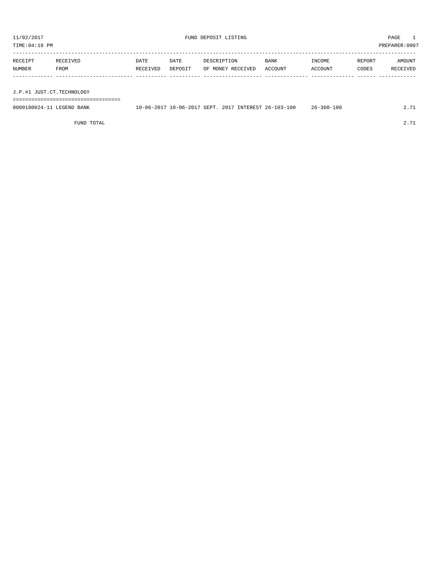TIME:04:19 PM PREPARER:0007 ----------------------------------------------------------------------------------------------------------------------------------- RECEIPT RECEIVED DATE DATE DESCRIPTION BANK INCOME REPORT AMOUNT NUMBER FROM RECEIVED DEPOSIT OF MONEY RECEIVED ACCOUNT ACCOUNT CODES RECEIVED ------------- ------------------------- ---------- ---------- ------------------- -------------- -------------- ------ ------------

J.P.#1 JUST.CT.TECHNOLOGY

===================================

| 0000180024-11 LEGEND BANK |  |  | 10-06-2017 10-06-2017 SEPT. 2017 INTEREST 26-103-100 | $26 - 360 - 100$ | 2.71 |
|---------------------------|--|--|------------------------------------------------------|------------------|------|
|                           |  |  |                                                      |                  |      |

FUND TOTAL 2.71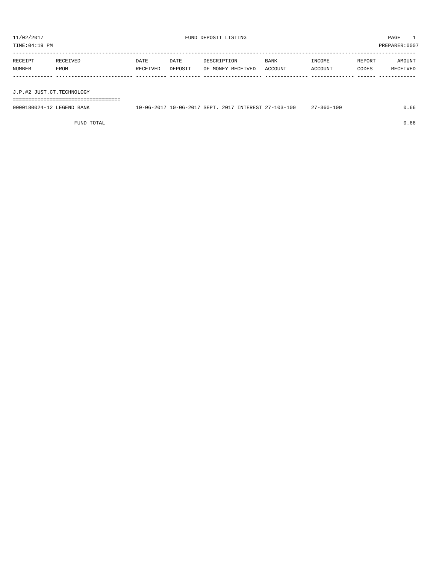TIME:04:19 PM PREPARER:0007 ----------------------------------------------------------------------------------------------------------------------------------- RECEIPT RECEIVED DATE DATE DESCRIPTION BANK INCOME REPORT AMOUNT

| NUMBER                    | FROM | RECEIVED | DEPOSIT |  | OF MONEY RECEIVED | ACCOUNT | ACCOUNT | CODES | <b>RECEIVED</b> |
|---------------------------|------|----------|---------|--|-------------------|---------|---------|-------|-----------------|
|                           |      |          |         |  |                   |         |         |       |                 |
| J.P.#2 JUST.CT.TECHNOLOGY |      |          |         |  |                   |         |         |       |                 |

===================================

0000180024-12 LEGEND BANK 10-06-2017 10-06-2017 SEPT. 2017 INTEREST 27-103-100 27-360-100 27-360-100

FUND TOTAL  $0.66$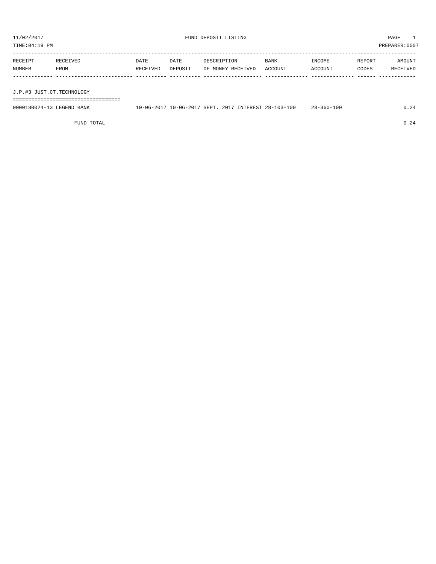TIME:04:19 PM PREPARER:0007 ----------------------------------------------------------------------------------------------------------------------------------- RECEIPT RECEIVED DATE DATE DESCRIPTION BANK INCOME REPORT AMOUNT NUMBER FROM RECEIVED DEPOSIT OF MONEY RECEIVED ACCOUNT ACCOUNT CODES RECEIVED ------------- ------------------------- ---------- ---------- ------------------- -------------- -------------- ------ ------------

J.P.#3 JUST.CT.TECHNOLOGY

===================================

| 0000180024-13 LEGEND BANK | 10-06-2017 10-06-2017 SEPT. 2017 | INTEREST 28-103-100 | $28 - 360 - 100$ |  |
|---------------------------|----------------------------------|---------------------|------------------|--|
|                           |                                  |                     |                  |  |

FUND TOTAL  $0.24$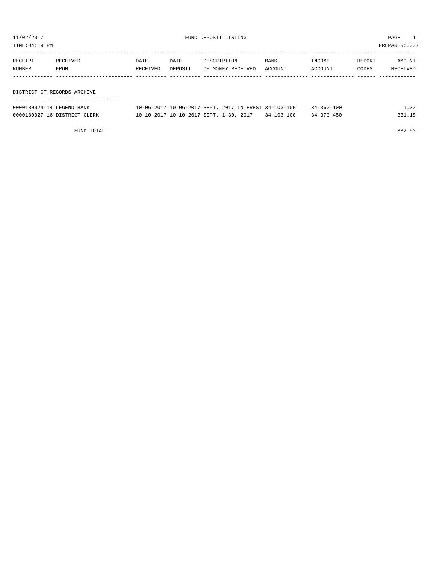TIME:04:19 PM PREPARER:0007

| RECEIPT | RECEIVED                    | <b>DATE</b> | DATE    | DESCRIPTION       | <b>BANK</b> | INCOME         | REPORT | AMOUNT   |
|---------|-----------------------------|-------------|---------|-------------------|-------------|----------------|--------|----------|
| NUMBER  | FROM                        | RECEIVED    | DEPOSIT | OF MONEY RECEIVED | ACCOUNT     | <b>ACCOUNT</b> | CODES  | RECEIVED |
|         |                             |             |         |                   |             |                |        |          |
|         |                             |             |         |                   |             |                |        |          |
|         | DISTRICT CT.RECORDS ARCHIVE |             |         |                   |             |                |        |          |

===================================

| 0000180024-14 LEGEND BANK    |  |  | 10-06-2017 10-06-2017 SEPT. 2017 INTEREST 34-103-100       | $34 - 360 - 100$ | 1.32   |
|------------------------------|--|--|------------------------------------------------------------|------------------|--------|
| 0000180027-16 DISTRICT CLERK |  |  | $10-10-2017$ $10-10-2017$ SEPT, $1-30$ , $2017$ 34-103-100 | $34 - 370 - 450$ | 331.18 |

FUND TOTAL 332.50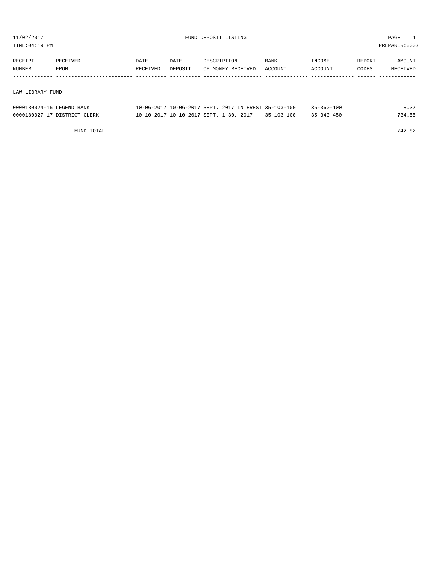TIME:04:19 PM PREPARER:0007

| RECEIPT | RECEIVED | DATE     | DATE    | DESCRIPTION       | <b>BANK</b> | INCOME  | REPORT | AMOUNT   |
|---------|----------|----------|---------|-------------------|-------------|---------|--------|----------|
| NUMBER  | FROM     | RECEIVED | DEPOSIT | OF MONEY RECEIVED | ACCOUNT     | ACCOUNT | CODES  | RECEIVED |
|         |          |          |         |                   |             |         |        |          |
|         |          |          |         |                   |             |         |        |          |

LAW LIBRARY FUND

| ----------------------------------- |                                                      |                  |                  |        |
|-------------------------------------|------------------------------------------------------|------------------|------------------|--------|
| 0000180024-15 LEGEND BANK           | 10-06-2017 10-06-2017 SEPT, 2017 INTEREST 35-103-100 |                  | $35 - 360 - 100$ | 8.37   |
| 0000180027-17 DISTRICT CLERK        | 10-10-2017 10-10-2017 SEPT. 1-30, 2017               | $35 - 103 - 100$ | $35 - 340 - 450$ | 734.55 |

FUND TOTAL 742.92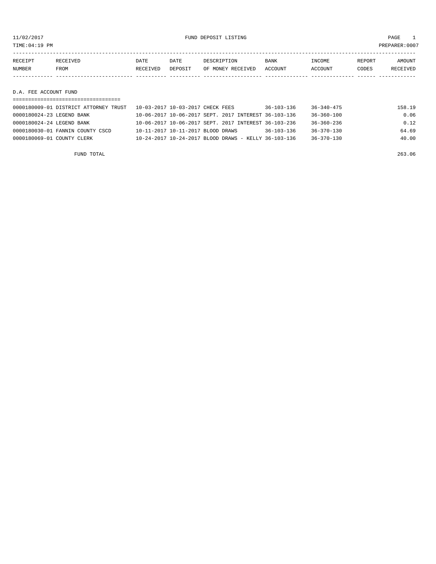11/02/2017 FUND DEPOSIT LISTING PAGE 1

| RECEIPT               | RECEIVED | DATE     | DATE    | DESCRIPTION       | <b>BANK</b> | INCOME  | REPORT | <b>AMOUNT</b> |
|-----------------------|----------|----------|---------|-------------------|-------------|---------|--------|---------------|
| NUMBER                | FROM     | RECEIVED | DEPOSIT | OF MONEY RECEIVED | ACCOUNT     | ACCOUNT | CODES  | RECEIVED      |
|                       |          |          |         |                   |             |         |        |               |
|                       |          |          |         |                   |             |         |        |               |
| D.A. FEE ACCOUNT FUND |          |          |         |                   |             |         |        |               |

| 0000180009-01 DISTRICT ATTORNEY TRUST | 10-03-2017 10-03-2017 CHECK FEES                     | $36 - 103 - 136$ | $36 - 340 - 475$ | 158.19 |
|---------------------------------------|------------------------------------------------------|------------------|------------------|--------|
| 0000180024-23 LEGEND BANK             | 10-06-2017 10-06-2017 SEPT, 2017 INTEREST 36-103-136 |                  | $36 - 360 - 100$ | 0.06   |
| 0000180024-24 LEGEND BANK             | 10-06-2017 10-06-2017 SEPT, 2017 INTEREST 36-103-236 |                  | $36 - 360 - 236$ | 0.12   |
| 0000180030-01 FANNIN COUNTY CSCD      | 10-11-2017 10-11-2017 BLOOD DRAWS                    | $36 - 103 - 136$ | $36 - 370 - 130$ | 64.69  |
| 0000180069-01 COUNTY CLERK            | 10-24-2017 10-24-2017 BLOOD DRAWS - KELLY 36-103-136 |                  | $36 - 370 - 130$ | 40.00  |
|                                       |                                                      |                  |                  |        |

FUND TOTAL 263.06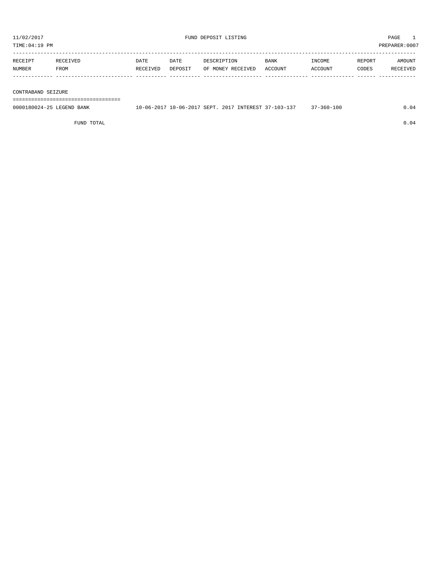| TIME:04:19 PM                                | PREPARER: 0007 |
|----------------------------------------------|----------------|
| ---------------------------------<br>------- |                |

| RECEIPT | RECEIVED | DATE     | DATE    | DESCRIPTION       | <b>BANK</b> | INCOME  | REPORT | AMOUNT   |
|---------|----------|----------|---------|-------------------|-------------|---------|--------|----------|
| NUMBER  | FROM     | RECEIVED | DEPOSIT | OF MONEY RECEIVED | ACCOUNT     | ACCOUNT | CODES  | RECEIVED |
|         |          |          |         |                   |             |         |        |          |

#### CONTRABAND SEIZURE

===================================

| 0000180024-25<br>LEGEND BANK | $10 - 06 - 2017$ SEPT.<br>2017<br>10-06-3 | 2017<br>INTEREST 37-103-137 | $7 - 360 - 100$ | 04 |
|------------------------------|-------------------------------------------|-----------------------------|-----------------|----|
|                              |                                           |                             |                 |    |

FUND TOTAL  $0.04$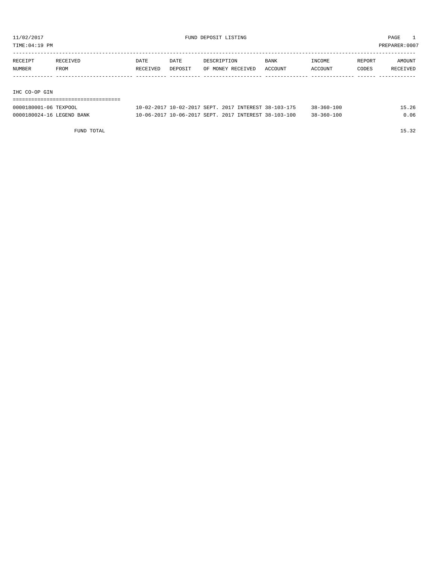TIME:04:19 PM PREPARER:0007

| RECEIPT | RECEIVED | DATE     | DATE    | DESCRIPTION       | <b>BANK</b> | INCOME  | REPORT | AMOUNT   |
|---------|----------|----------|---------|-------------------|-------------|---------|--------|----------|
| NUMBER  | FROM     | RECEIVED | DEPOSIT | OF MONEY RECEIVED | ACCOUNT     | ACCOUNT | CODES  | RECEIVED |
|         |          |          |         |                   |             |         |        |          |
|         |          |          |         |                   |             |         |        |          |

IHC CO-OP GIN

| ------------------------------------ |  |  |                                                      |                  |       |
|--------------------------------------|--|--|------------------------------------------------------|------------------|-------|
| 0000180001-06 TEXPOOL                |  |  | 10-02-2017 10-02-2017 SEPT, 2017 INTEREST 38-103-175 | $38 - 360 - 100$ | 15.26 |
| 0000180024-16 LEGEND BANK            |  |  | 10-06-2017 10-06-2017 SEPT. 2017 INTEREST 38-103-100 | $38 - 360 - 100$ | 0.06  |

FUND TOTAL 15.32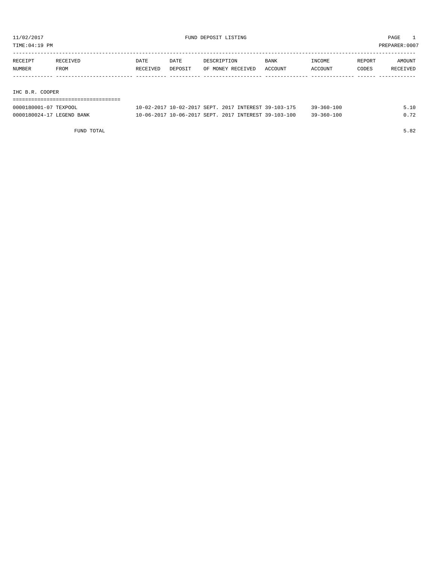TIME:04:19 PM PREPARER:0007

| RECEIPT         | RECEIVED | DATE     | DATE    | DESCRIPTION       | BANK    | INCOME  | REPORT | AMOUNT   |
|-----------------|----------|----------|---------|-------------------|---------|---------|--------|----------|
| NUMBER          | FROM     | RECEIVED | DEPOSIT | OF MONEY RECEIVED | ACCOUNT | ACCOUNT | CODES  | RECEIVED |
|                 |          |          |         |                   |         |         |        |          |
|                 |          |          |         |                   |         |         |        |          |
| IHC B.R. COOPER |          |          |         |                   |         |         |        |          |

| ------------------------------------ |  |  |                                                      |                  |      |
|--------------------------------------|--|--|------------------------------------------------------|------------------|------|
| 0000180001-07 TEXPOOL                |  |  | 10-02-2017 10-02-2017 SEPT. 2017 INTEREST 39-103-175 | $39 - 360 - 100$ | 5.10 |
| 0000180024-17 LEGEND BANK            |  |  | 10-06-2017 10-06-2017 SEPT. 2017 INTEREST 39-103-100 | $39 - 360 - 100$ | 0.72 |

FUND TOTAL 5.82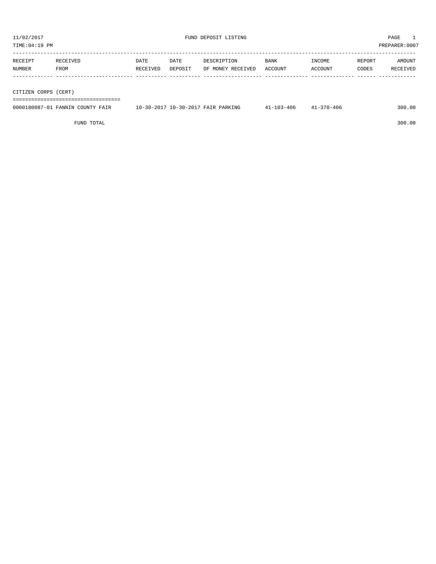| RECEIPT | RECEIVED | <b>DATE</b> | DATE    | DESCRIPTION       | <b>BANK</b> | INCOME  | REPORT | AMOUNT   |
|---------|----------|-------------|---------|-------------------|-------------|---------|--------|----------|
| NUMBER  | FROM     | RECEIVED    | DEPOSIT | OF MONEY RECEIVED | ACCOUNT     | ACCOUNT | CODES  | RECEIVED |
|         |          |             |         |                   |             |         |        |          |
|         |          |             |         |                   |             |         |        |          |

CITIZEN CORPS (CERT)

===================================

| 0000180087-01<br><b>TANNIN</b><br>י ידוחדו <sub>י</sub><br>$H^* \Lambda$ | 10-30-201<br>$\Lambda$ PARK $T^{\mu\nu}$<br>$10 - 30 - 201$<br>⊡ግገ⊾ | $\sim$<br>-40 | 406–0<br>^ מ | 300 |
|--------------------------------------------------------------------------|---------------------------------------------------------------------|---------------|--------------|-----|
|                                                                          |                                                                     |               |              |     |

FUND TOTAL 300.00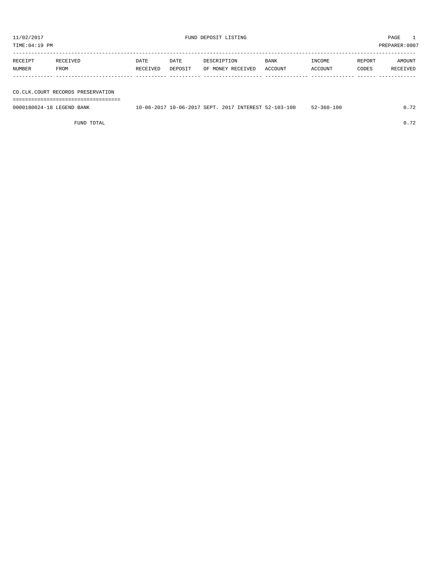TIME:04:19 PM PREPARER:0007

| RECEIPT | RECEIVED | DATE     | DATE    | DESCRIPTION       | <b>BANK</b> | INCOME  | REPORT | AMOUNT   |
|---------|----------|----------|---------|-------------------|-------------|---------|--------|----------|
| NUMBER  | FROM     | RECEIVED | DEPOSIT | OF MONEY RECEIVED | ACCOUNT     | ACCOUNT | CODES  | RECEIVED |
|         |          |          |         |                   |             |         |        |          |

## CO.C

FUND TOTAL 0.72

| NUMBER                    | <b>FROM</b>                       | RECEIVED | DEPOSIT | OF MONEY RECEIVED                                    | ACCOUNT | ACCOUNT          | CODES | RECEIVED |
|---------------------------|-----------------------------------|----------|---------|------------------------------------------------------|---------|------------------|-------|----------|
|                           |                                   |          |         |                                                      |         |                  |       |          |
|                           | CO.CLK.COURT RECORDS PRESERVATION |          |         |                                                      |         |                  |       |          |
|                           |                                   |          |         |                                                      |         |                  |       |          |
| 0000180024-18 LEGEND BANK |                                   |          |         | 10-06-2017 10-06-2017 SEPT, 2017 INTEREST 52-103-100 |         | $52 - 360 - 100$ |       | 0.72     |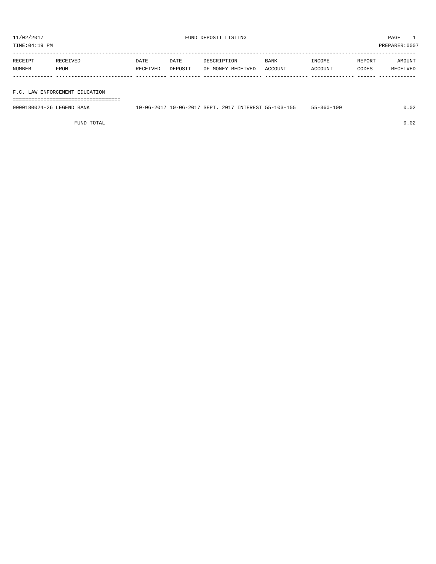TIME:04:19 PM PREPARER:0007

| RECEIPT | RECEIVED    | DATE     | DATE    | DESCRIPTION       | <b>BANK</b> | INCOME         | REPORT | AMOUNT          |
|---------|-------------|----------|---------|-------------------|-------------|----------------|--------|-----------------|
| NUMBER  | <b>FROM</b> | RECEIVED | DEPOSIT | OF MONEY RECEIVED | ACCOUNT     | <b>ACCOUNT</b> | CODES  | <b>RECEIVED</b> |
|         |             |          |         |                   |             |                |        |                 |

## F.C. LAW ENFORCEMENT EDUCATION

===================================

| 0000180024-26 LEGEND BANK |  |  | 10-06-2017 10-06-2017 SEPT. 2017 INTEREST 55-103-155 | $55 - 360 - 100$ | .02 |
|---------------------------|--|--|------------------------------------------------------|------------------|-----|
|                           |  |  |                                                      |                  |     |

FUND TOTAL 0.02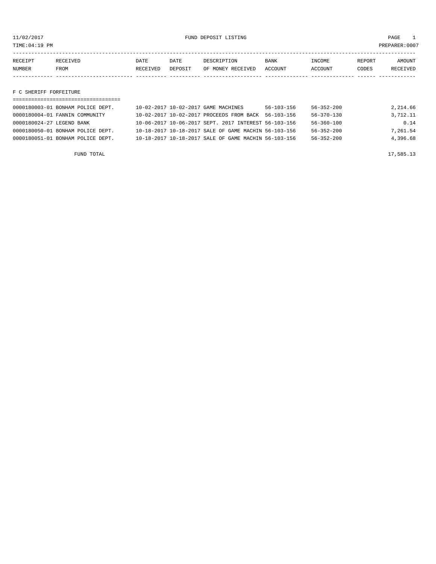11/02/2017 FUND DEPOSIT LISTING PAGE 1

| RECEIPT       | <b>RECEIVED</b> | DATE            | DATE    | DESCRIPTION       | <b>BANK</b> | INCOME         | <b>REPORT</b> | AMOUNT          |
|---------------|-----------------|-----------------|---------|-------------------|-------------|----------------|---------------|-----------------|
| <b>NUMBER</b> | FROM            | <b>RECEIVED</b> | DEPOSIT | OF MONEY RECEIVED | ACCOUNT     | <b>ACCOUNT</b> | CODES         | <b>RECEIVED</b> |
|               |                 |                 |         |                   |             |                |               |                 |

F C SHERIFF FORFEITURE

| 0000180003-01 BONHAM POLICE DEPT.     | 10-02-2017 10-02-2017 GAME MACHINES |                                                      | $56 - 103 - 156$ | $56 - 352 - 200$ | 2,214.66 |
|---------------------------------------|-------------------------------------|------------------------------------------------------|------------------|------------------|----------|
| 0000180004-01 FANNIN COMMUNITY        |                                     | 10-02-2017 10-02-2017 PROCEEDS FROM BACK             | 56-103-156       | $56 - 370 - 130$ | 3,712.11 |
| 0000180024-27 LEGEND BANK             |                                     | 10-06-2017 10-06-2017 SEPT, 2017 INTEREST 56-103-156 |                  | $56 - 360 - 100$ | 0.14     |
| 0000180050-01 BONHAM POLICE DEPT.     |                                     | 10-18-2017 10-18-2017 SALE OF GAME MACHIN 56-103-156 |                  | $56 - 352 - 200$ | 7,261.54 |
| $0000180051 - 01$ BONHAM POLICE DEPT. |                                     | 10-18-2017 10-18-2017 SALE OF GAME MACHIN 56-103-156 |                  | $56 - 352 - 200$ | 4,396.68 |
|                                       |                                     |                                                      |                  |                  |          |

FUND TOTAL 17,585.13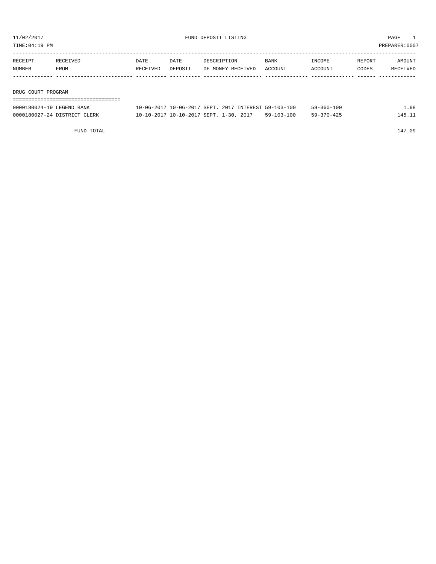TIME:04:19 PM PREPARER:0007

| RECEIPT | RECEIVED    | DATE     | DATE    | DESCRIPTION       | <b>BANK</b> | INCOME  | REPORT | AMOUNT   |
|---------|-------------|----------|---------|-------------------|-------------|---------|--------|----------|
| NUMBER  | <b>FROM</b> | RECEIVED | DEPOSIT | OF MONEY RECEIVED | ACCOUNT     | ACCOUNT | CODES  | RECEIVED |
|         |             |          |         |                   |             |         |        |          |
|         |             |          |         |                   |             |         |        |          |

DRUG COURT PROGRAM

| ----------------------------------- |                                                      |            |                  |        |
|-------------------------------------|------------------------------------------------------|------------|------------------|--------|
| 0000180024-19 LEGEND BANK           | 10-06-2017 10-06-2017 SEPT. 2017 INTEREST 59-103-100 |            | 59-360-100       | .98    |
| 0000180027-24 DISTRICT CLERK        | 10-10-2017 10-10-2017 SEPT. 1-30, 2017               | 59-103-100 | $59 - 370 - 425$ | 145.11 |

FUND TOTAL 147.09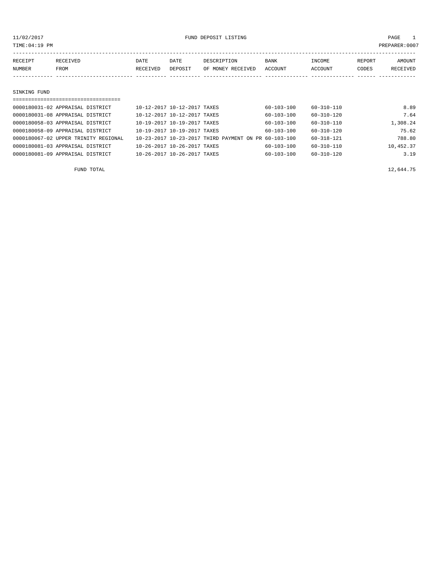TIME:04:19 PM PREPARER:0007

| RECEIPT | RECEIVED | DATE     | DATE    | DESCRIPTION       | <b>BANK</b> | INCOME  | REPORT | AMOUNT   |
|---------|----------|----------|---------|-------------------|-------------|---------|--------|----------|
| NUMBER  | FROM     | RECEIVED | DEPOSIT | OF MONEY RECEIVED | ACCOUNT     | ACCOUNT | CODES  | RECEIVED |
|         |          |          |         |                   |             |         |        |          |
|         |          |          |         |                   |             |         |        |          |

#### SINKING FUND

| =================================    |                             |                                                      |                  |                  |           |
|--------------------------------------|-----------------------------|------------------------------------------------------|------------------|------------------|-----------|
| 0000180031-02 APPRAISAL DISTRICT     | 10-12-2017 10-12-2017 TAXES |                                                      | $60 - 103 - 100$ | 60-310-110       | 8.89      |
| 0000180031-08 APPRAISAL DISTRICT     | 10-12-2017 10-12-2017 TAXES |                                                      | $60 - 103 - 100$ | $60 - 310 - 120$ | 7.64      |
| 0000180058-03 APPRAISAL DISTRICT     | 10-19-2017 10-19-2017 TAXES |                                                      | $60 - 103 - 100$ | $60 - 310 - 110$ | 1,308.24  |
| 0000180058-09 APPRAISAL DISTRICT     | 10-19-2017 10-19-2017 TAXES |                                                      | $60 - 103 - 100$ | $60 - 310 - 120$ | 75.62     |
| 0000180067-02 UPPER TRINITY REGIONAL |                             | 10-23-2017 10-23-2017 THIRD PAYMENT ON PR 60-103-100 |                  | $60 - 318 - 121$ | 788.80    |
| 0000180081-03 APPRAISAL DISTRICT     | 10-26-2017 10-26-2017 TAXES |                                                      | 60-103-100       | $60 - 310 - 110$ | 10,452.37 |
| 0000180081-09 APPRAISAL DISTRICT     | 10-26-2017 10-26-2017 TAXES |                                                      | $60 - 103 - 100$ | $60 - 310 - 120$ | 3.19      |

FUND TOTAL  $12,644.75$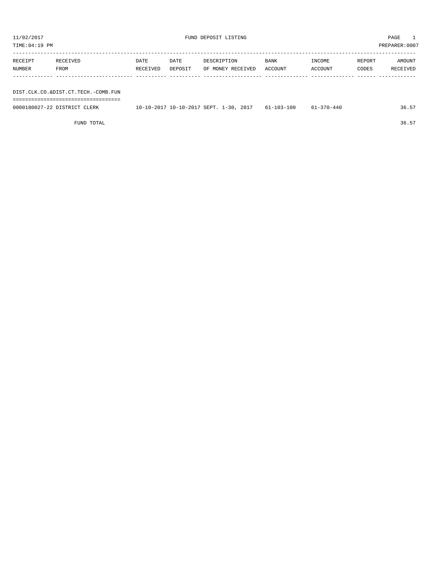| TIME:04:19 PM | PREPARER:0007 |
|---------------|---------------|
|               |               |

----------------------------------------------------------------------------------------------------------------------------------- RECEIPT RECEIVED DATE DATE DESCRIPTION BANK INCOME REPORT AMOUNT NUMBER FROM RECEIVED DEPOSIT OF MONEY RECEIVED ACCOUNT ACCOUNT CODES RECEIVED ------------- ------------------------- ---------- ---------- ------------------- -------------- -------------- ------ ------------

DIST.CLK.CO.&DIST.CT.TECH.-COMB.FUN ===================================

| 0000180027-22 DISTRICT CLERK | 10-10-2017 10-10-2017 SEPT. 1-30, 2017 | $61 - 103 - 100$ | 61-370-440 | . 36.ა. |
|------------------------------|----------------------------------------|------------------|------------|---------|
|                              |                                        |                  |            |         |

FUND TOTAL 36.57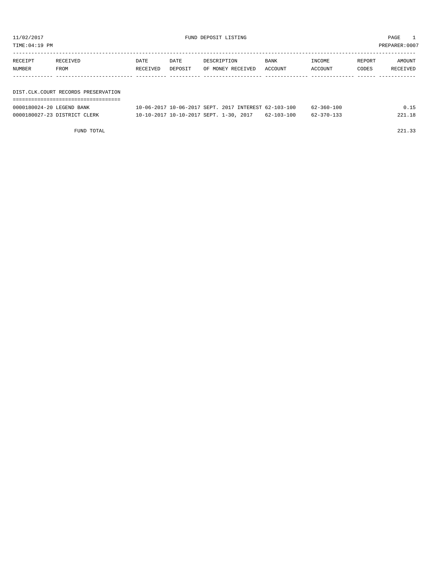| TIME:04:19 PM     |                                     |                  |                 |                                  |                 |                   | PREPARER: 0007  |                    |
|-------------------|-------------------------------------|------------------|-----------------|----------------------------------|-----------------|-------------------|-----------------|--------------------|
| RECEIPT<br>NUMBER | RECEIVED<br><b>FROM</b>             | DATE<br>RECEIVED | DATE<br>DEPOSIT | DESCRIPTION<br>OF MONEY RECEIVED | BANK<br>ACCOUNT | INCOME<br>ACCOUNT | REPORT<br>CODES | AMOUNT<br>RECEIVED |
|                   | DIST.CLK.COURT RECORDS PRESERVATION |                  |                 |                                  |                 |                   |                 |                    |

|  |  |  |  | ----------------------------------<br>----------------------------------- |  |
|--|--|--|--|---------------------------------------------------------------------------|--|

| 0000180024-20 LEGEND BANK    | 10-06-2017 10-06-2017 SEPT, 2017 INTEREST 62-103-100 |  |            | $62 - 360 - 100$ |  |
|------------------------------|------------------------------------------------------|--|------------|------------------|--|
| 0000180027-23 DISTRICT CLERK | 10-10-2017 10-10-2017 SEPT. 1-30, 2017               |  | 62-103-100 |                  |  |

FUND TOTAL 221.33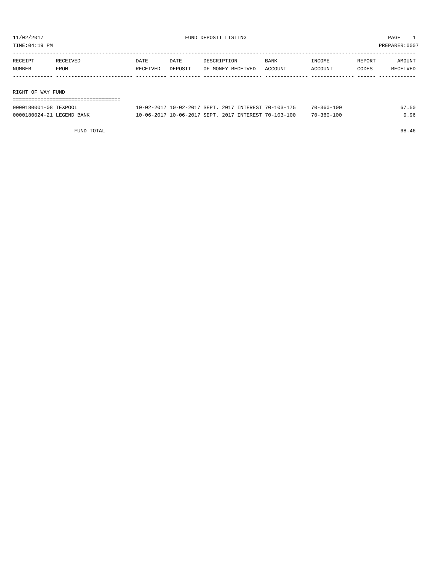TIME:04:19 PM PREPARER:0007

| RECEIPT           | RECEIVED | DATE     | DATE    | DESCRIPTION       | <b>BANK</b> | INCOME  | REPORT | AMOUNT   |
|-------------------|----------|----------|---------|-------------------|-------------|---------|--------|----------|
| NUMBER            | FROM     | RECEIVED | DEPOSIT | OF MONEY RECEIVED | ACCOUNT     | ACCOUNT | CODES  | RECEIVED |
|                   |          |          |         |                   |             |         |        |          |
|                   |          |          |         |                   |             |         |        |          |
| RIGHT OF WAY FUND |          |          |         |                   |             |         |        |          |

| ------------------------------- |                                                      |                  |       |
|---------------------------------|------------------------------------------------------|------------------|-------|
| 0000180001-08 TEXPOOL           | 10-02-2017 10-02-2017 SEPT. 2017 INTEREST 70-103-175 | $70 - 360 - 100$ | 67.50 |
| 0000180024-21 LEGEND BANK       | 10-06-2017 10-06-2017 SEPT. 2017 INTEREST 70-103-100 | $70 - 360 - 100$ | 0.96  |

FUND TOTAL 68.46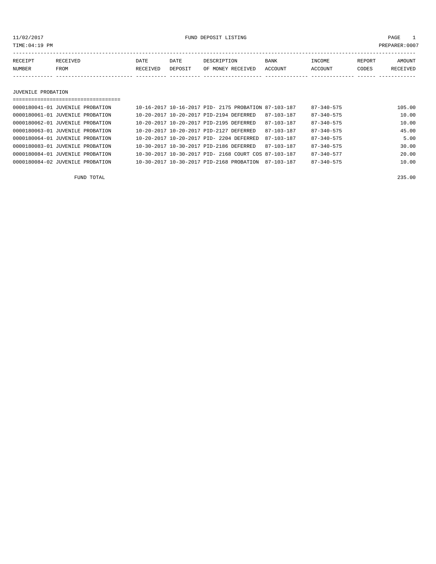11/02/2017 FUND DEPOSIT LISTING PAGE 1

| RECEIPT | <b>RECEIVED</b> | DATE     | DATE    | DESCRIPTION       | <b>BANK</b> | INCOME  | REPORT | AMOUNT          |
|---------|-----------------|----------|---------|-------------------|-------------|---------|--------|-----------------|
| NUMBER  | FROM            | RECEIVED | DEPOSIT | OF MONEY RECEIVED | ACCOUNT     | ACCOUNT | CODES  | <b>RECEIVED</b> |
|         |                 |          |         |                   |             |         |        |                 |

JUVENILE PROBATION

| 0000180041-01 JUVENILE PROBATION | 10-16-2017 10-16-2017 PID- 2175 PROBATION 87-103-187 |                  | $87 - 340 - 575$ | 105.00 |
|----------------------------------|------------------------------------------------------|------------------|------------------|--------|
| 0000180061-01 JUVENILE PROBATION | 10-20-2017 10-20-2017 PID-2194 DEFERRED              | 87-103-187       | $87 - 340 - 575$ | 10.00  |
| 0000180062-01 JUVENILE PROBATION | 10-20-2017 10-20-2017 PID-2195 DEFERRED              | $87 - 103 - 187$ | $87 - 340 - 575$ | 10.00  |
| 0000180063-01 JUVENILE PROBATION | 10-20-2017 10-20-2017 PID-2127 DEFERRED              | $87 - 103 - 187$ | $87 - 340 - 575$ | 45.00  |
| 0000180064-01 JUVENILE PROBATION | 10-20-2017 10-20-2017 PID- 2204 DEFERRED             | 87-103-187       | $87 - 340 - 575$ | 5.00   |
| 0000180083-01 JUVENILE PROBATION | 10-30-2017 10-30-2017 PID-2186 DEFERRED              | 87-103-187       | $87 - 340 - 575$ | 30.00  |
| 0000180084-01 JUVENILE PROBATION | 10-30-2017 10-30-2017 PID- 2168 COURT COS 87-103-187 |                  | $87 - 340 - 577$ | 20.00  |
| 0000180084-02 JUVENILE PROBATION | 10-30-2017 10-30-2017 PID-2168 PROBATION             | 87-103-187       | $87 - 340 - 575$ | 10.00  |
|                                  |                                                      |                  |                  |        |

FUND TOTAL 235.00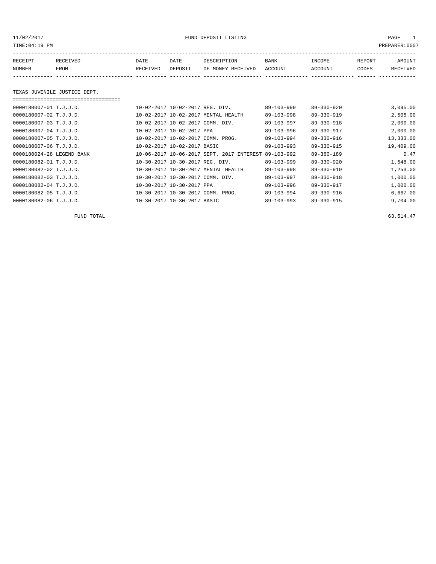11/02/2017 FUND DEPOSIT LISTING PAGE 1

| RECEIPT | RECEIVED | DATE     | DATE    | DESCRIPTION       | <b>BANK</b> | <b>NCOME</b> | <b>REPORT</b> | AMOUNT   |
|---------|----------|----------|---------|-------------------|-------------|--------------|---------------|----------|
| NUMBER  | FROM     | RECEIVED | DEPOSIT | OF MONEY RECEIVED | ACCOUNT     | ACCOUNT      | CODES         | RECEIVED |
|         |          |          |         |                   |             |              |               |          |

### TEXAS JUVENILE JUSTICE DEPT.

===================================

| $0.000180007 - 01$ T.J.J.D. | 10-02-2017 10-02-2017 REG. DIV.     |                                           | $89 - 103 - 999$ | $89 - 330 - 920$ | 3,095.00  |
|-----------------------------|-------------------------------------|-------------------------------------------|------------------|------------------|-----------|
| 0000180007-02 T.J.J.D.      | 10-02-2017 10-02-2017 MENTAL HEALTH |                                           | $89 - 103 - 998$ | $89 - 330 - 919$ | 2,505.00  |
| 0000180007-03 T.J.J.D.      | 10-02-2017 10-02-2017 COMM. DIV.    |                                           | 89-103-997       | $89 - 330 - 918$ | 2,000.00  |
| 0000180007-04 T.J.J.D.      | 10-02-2017 10-02-2017 PPA           |                                           | $89 - 103 - 996$ | 89-330-917       | 2,000.00  |
| 0000180007-05 T.J.J.D.      | 10-02-2017 10-02-2017 COMM. PROG.   |                                           | 89-103-994       | 89-330-916       | 13,333.00 |
| 0000180007-06 T.J.J.D.      | 10-02-2017 10-02-2017 BASIC         |                                           | $89 - 103 - 993$ | 89-330-915       | 19,409.00 |
| 0000180024-28 LEGEND BANK   |                                     | 10-06-2017 10-06-2017 SEPT. 2017 INTEREST | $89 - 103 - 992$ | $89 - 360 - 189$ | 0.47      |
| 0000180082-01 T.J.J.D.      | 10-30-2017 10-30-2017 REG. DIV.     |                                           | $89 - 103 - 999$ | $89 - 330 - 920$ | 1,548.00  |
| 0000180082-02 T.J.J.D.      | 10-30-2017 10-30-2017 MENTAL HEALTH |                                           | $89 - 103 - 998$ | $89 - 330 - 919$ | 1,253.00  |
| 0000180082-03 T.J.J.D.      | 10-30-2017 10-30-2017 COMM. DIV.    |                                           | 89-103-997       | $89 - 330 - 918$ | 1,000.00  |
| 0000180082-04 T.J.J.D.      | 10-30-2017 10-30-2017 PPA           |                                           | 89-103-996       | 89-330-917       | 1,000.00  |
| 0000180082-05 T.J.J.D.      | 10-30-2017 10-30-2017 COMM. PROG.   |                                           | 89-103-994       | 89-330-916       | 6,667.00  |
| 0000180082-06 T.J.J.D.      | 10-30-2017 10-30-2017 BASIC         |                                           | $89 - 103 - 993$ | $89 - 330 - 915$ | 9,704.00  |

FUND TOTAL  $63,514.47$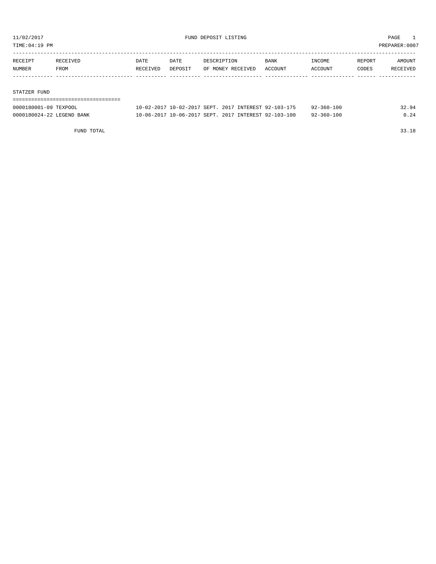TIME:04:19 PM PREPARER:0007

| RECEIPT | RECEIVED | DATE     | DATE    | DESCRIPTION       | <b>BANK</b> | INCOME  | REPORT | AMOUNT   |
|---------|----------|----------|---------|-------------------|-------------|---------|--------|----------|
| NUMBER  | FROM     | RECEIVED | DEPOSIT | OF MONEY RECEIVED | ACCOUNT     | ACCOUNT | CODES  | RECEIVED |
|         |          |          |         |                   |             |         |        |          |

#### STATZER FUND

| ================================= |                                                      |                  |       |
|-----------------------------------|------------------------------------------------------|------------------|-------|
| 0000180001-09 TEXPOOL             | 10-02-2017 10-02-2017 SEPT, 2017 INTEREST 92-103-175 | $92 - 360 - 100$ | 32.94 |
| 0000180024-22 LEGEND BANK         | 10-06-2017 10-06-2017 SEPT, 2017 INTEREST 92-103-100 | $92 - 360 - 100$ | 0.24  |

FUND TOTAL 33.18